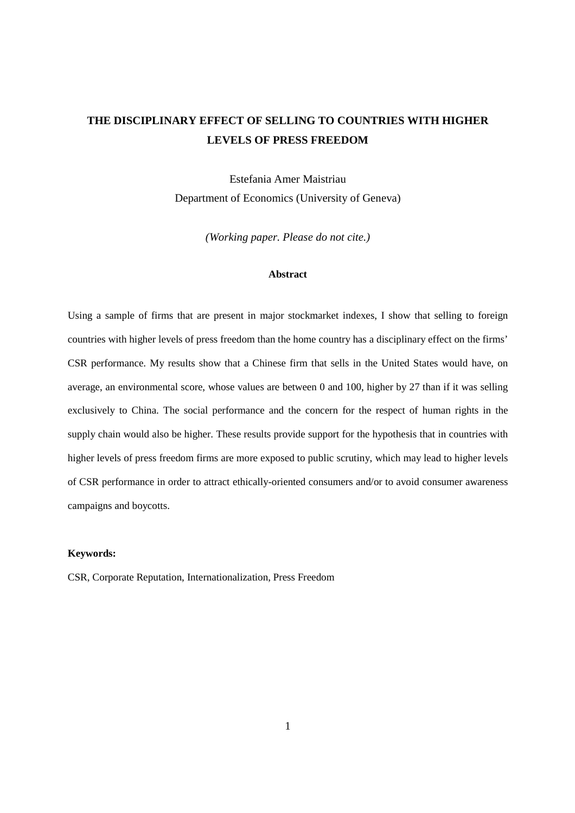# **THE DISCIPLINARY EFFECT OF SELLING TO COUNTRIES WITH HIGHER LEVELS OF PRESS FREEDOM**

Estefania Amer Maistriau Department of Economics (University of Geneva)

*(Working paper. Please do not cite.)* 

### **Abstract**

Using a sample of firms that are present in major stockmarket indexes, I show that selling to foreign countries with higher levels of press freedom than the home country has a disciplinary effect on the firms' CSR performance. My results show that a Chinese firm that sells in the United States would have, on average, an environmental score, whose values are between 0 and 100, higher by 27 than if it was selling exclusively to China. The social performance and the concern for the respect of human rights in the supply chain would also be higher. These results provide support for the hypothesis that in countries with higher levels of press freedom firms are more exposed to public scrutiny, which may lead to higher levels of CSR performance in order to attract ethically-oriented consumers and/or to avoid consumer awareness campaigns and boycotts.

#### **Keywords:**

CSR, Corporate Reputation, Internationalization, Press Freedom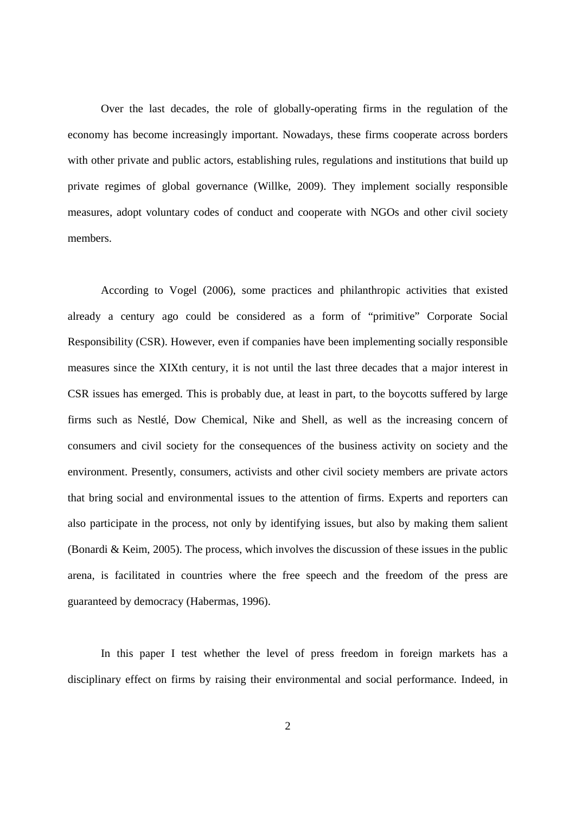Over the last decades, the role of globally-operating firms in the regulation of the economy has become increasingly important. Nowadays, these firms cooperate across borders with other private and public actors, establishing rules, regulations and institutions that build up private regimes of global governance (Willke, 2009). They implement socially responsible measures, adopt voluntary codes of conduct and cooperate with NGOs and other civil society members.

According to Vogel (2006), some practices and philanthropic activities that existed already a century ago could be considered as a form of "primitive" Corporate Social Responsibility (CSR). However, even if companies have been implementing socially responsible measures since the XIXth century, it is not until the last three decades that a major interest in CSR issues has emerged. This is probably due, at least in part, to the boycotts suffered by large firms such as Nestlé, Dow Chemical, Nike and Shell, as well as the increasing concern of consumers and civil society for the consequences of the business activity on society and the environment. Presently, consumers, activists and other civil society members are private actors that bring social and environmental issues to the attention of firms. Experts and reporters can also participate in the process, not only by identifying issues, but also by making them salient (Bonardi & Keim, 2005). The process, which involves the discussion of these issues in the public arena, is facilitated in countries where the free speech and the freedom of the press are guaranteed by democracy (Habermas, 1996).

In this paper I test whether the level of press freedom in foreign markets has a disciplinary effect on firms by raising their environmental and social performance. Indeed, in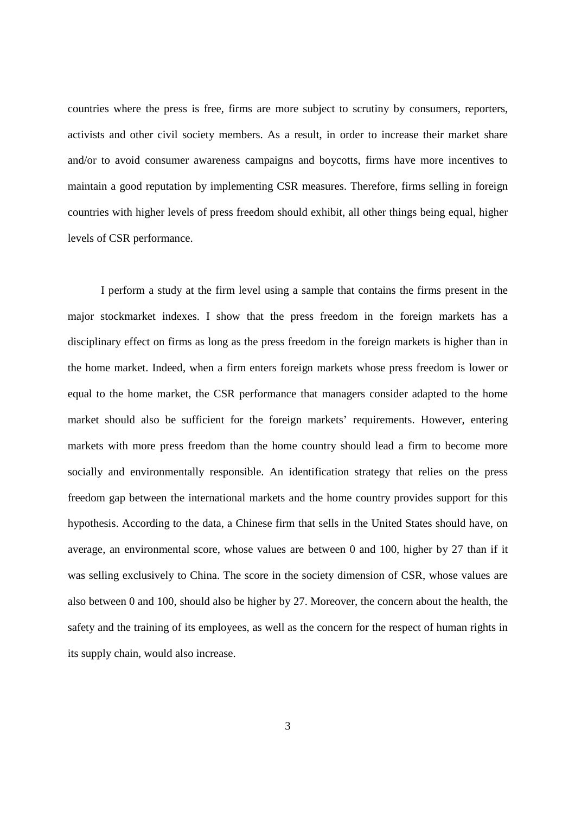countries where the press is free, firms are more subject to scrutiny by consumers, reporters, activists and other civil society members. As a result, in order to increase their market share and/or to avoid consumer awareness campaigns and boycotts, firms have more incentives to maintain a good reputation by implementing CSR measures. Therefore, firms selling in foreign countries with higher levels of press freedom should exhibit, all other things being equal, higher levels of CSR performance.

I perform a study at the firm level using a sample that contains the firms present in the major stockmarket indexes. I show that the press freedom in the foreign markets has a disciplinary effect on firms as long as the press freedom in the foreign markets is higher than in the home market. Indeed, when a firm enters foreign markets whose press freedom is lower or equal to the home market, the CSR performance that managers consider adapted to the home market should also be sufficient for the foreign markets' requirements. However, entering markets with more press freedom than the home country should lead a firm to become more socially and environmentally responsible. An identification strategy that relies on the press freedom gap between the international markets and the home country provides support for this hypothesis. According to the data, a Chinese firm that sells in the United States should have, on average, an environmental score, whose values are between 0 and 100, higher by 27 than if it was selling exclusively to China. The score in the society dimension of CSR, whose values are also between 0 and 100, should also be higher by 27. Moreover, the concern about the health, the safety and the training of its employees, as well as the concern for the respect of human rights in its supply chain, would also increase.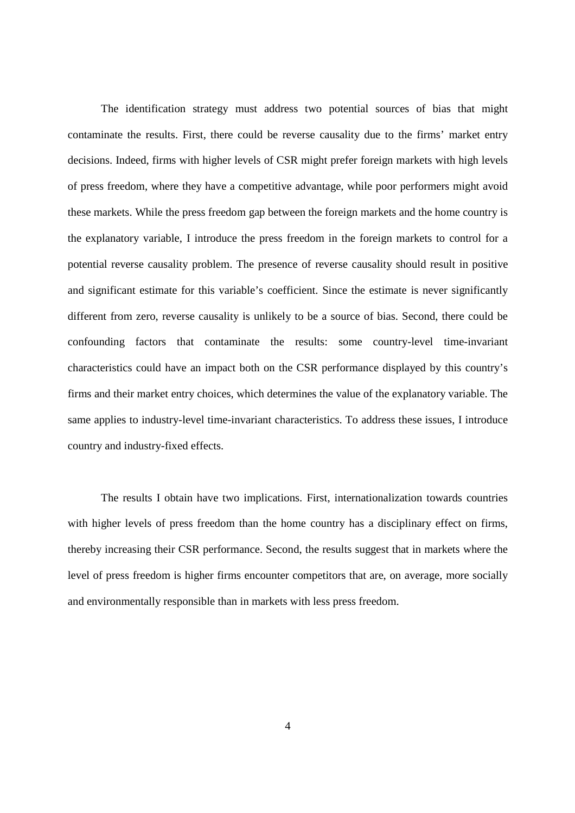The identification strategy must address two potential sources of bias that might contaminate the results. First, there could be reverse causality due to the firms' market entry decisions. Indeed, firms with higher levels of CSR might prefer foreign markets with high levels of press freedom, where they have a competitive advantage, while poor performers might avoid these markets. While the press freedom gap between the foreign markets and the home country is the explanatory variable, I introduce the press freedom in the foreign markets to control for a potential reverse causality problem. The presence of reverse causality should result in positive and significant estimate for this variable's coefficient. Since the estimate is never significantly different from zero, reverse causality is unlikely to be a source of bias. Second, there could be confounding factors that contaminate the results: some country-level time-invariant characteristics could have an impact both on the CSR performance displayed by this country's firms and their market entry choices, which determines the value of the explanatory variable. The same applies to industry-level time-invariant characteristics. To address these issues, I introduce country and industry-fixed effects.

The results I obtain have two implications. First, internationalization towards countries with higher levels of press freedom than the home country has a disciplinary effect on firms, thereby increasing their CSR performance. Second, the results suggest that in markets where the level of press freedom is higher firms encounter competitors that are, on average, more socially and environmentally responsible than in markets with less press freedom.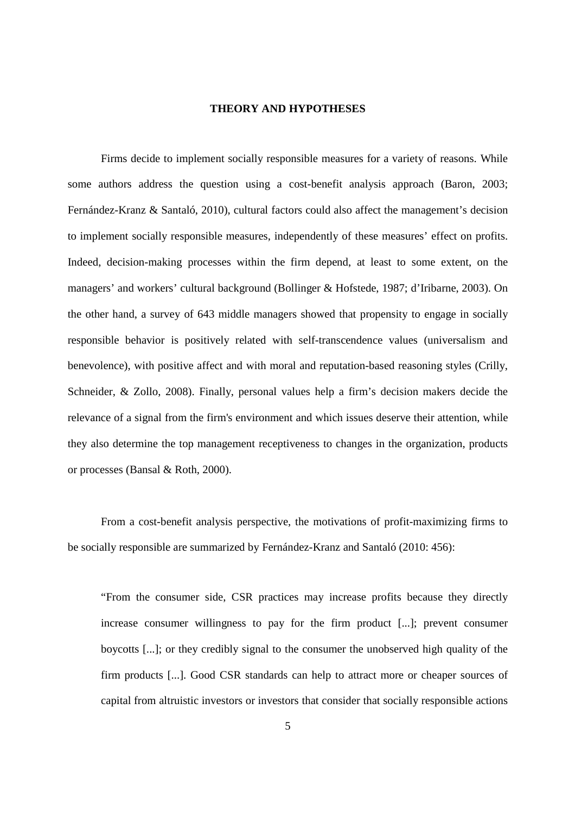#### **THEORY AND HYPOTHESES**

Firms decide to implement socially responsible measures for a variety of reasons. While some authors address the question using a cost-benefit analysis approach (Baron, 2003; Fernández-Kranz & Santaló, 2010), cultural factors could also affect the management's decision to implement socially responsible measures, independently of these measures' effect on profits. Indeed, decision-making processes within the firm depend, at least to some extent, on the managers' and workers' cultural background (Bollinger & Hofstede, 1987; d'Iribarne, 2003). On the other hand, a survey of 643 middle managers showed that propensity to engage in socially responsible behavior is positively related with self-transcendence values (universalism and benevolence), with positive affect and with moral and reputation-based reasoning styles (Crilly, Schneider, & Zollo, 2008). Finally, personal values help a firm's decision makers decide the relevance of a signal from the firm's environment and which issues deserve their attention, while they also determine the top management receptiveness to changes in the organization, products or processes (Bansal & Roth, 2000).

From a cost-benefit analysis perspective, the motivations of profit-maximizing firms to be socially responsible are summarized by Fernández-Kranz and Santaló (2010: 456):

"From the consumer side, CSR practices may increase profits because they directly increase consumer willingness to pay for the firm product [...]; prevent consumer boycotts [...]; or they credibly signal to the consumer the unobserved high quality of the firm products [...]. Good CSR standards can help to attract more or cheaper sources of capital from altruistic investors or investors that consider that socially responsible actions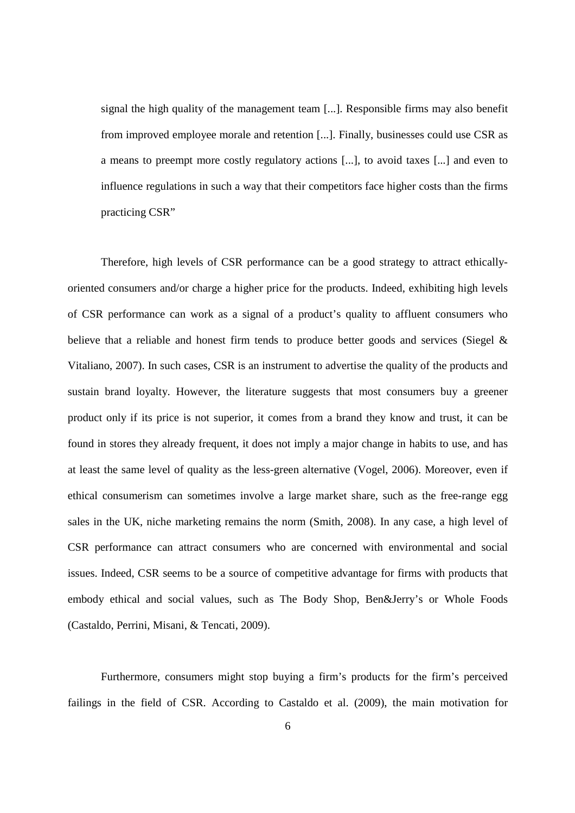signal the high quality of the management team [...]. Responsible firms may also benefit from improved employee morale and retention [...]. Finally, businesses could use CSR as a means to preempt more costly regulatory actions [...], to avoid taxes [...] and even to influence regulations in such a way that their competitors face higher costs than the firms practicing CSR"

Therefore, high levels of CSR performance can be a good strategy to attract ethicallyoriented consumers and/or charge a higher price for the products. Indeed, exhibiting high levels of CSR performance can work as a signal of a product's quality to affluent consumers who believe that a reliable and honest firm tends to produce better goods and services (Siegel & Vitaliano, 2007). In such cases, CSR is an instrument to advertise the quality of the products and sustain brand loyalty. However, the literature suggests that most consumers buy a greener product only if its price is not superior, it comes from a brand they know and trust, it can be found in stores they already frequent, it does not imply a major change in habits to use, and has at least the same level of quality as the less-green alternative (Vogel, 2006). Moreover, even if ethical consumerism can sometimes involve a large market share, such as the free-range egg sales in the UK, niche marketing remains the norm (Smith, 2008). In any case, a high level of CSR performance can attract consumers who are concerned with environmental and social issues. Indeed, CSR seems to be a source of competitive advantage for firms with products that embody ethical and social values, such as The Body Shop, Ben&Jerry's or Whole Foods (Castaldo, Perrini, Misani, & Tencati, 2009).

Furthermore, consumers might stop buying a firm's products for the firm's perceived failings in the field of CSR. According to Castaldo et al. (2009), the main motivation for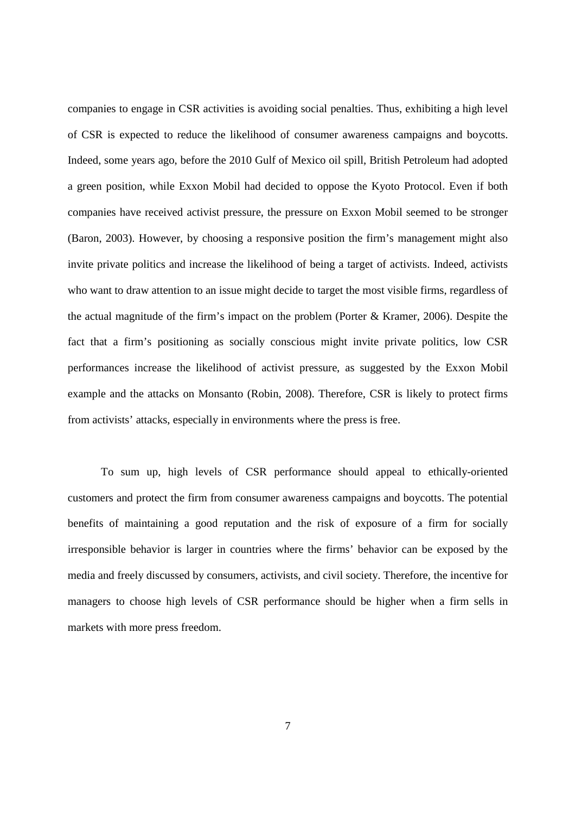companies to engage in CSR activities is avoiding social penalties. Thus, exhibiting a high level of CSR is expected to reduce the likelihood of consumer awareness campaigns and boycotts. Indeed, some years ago, before the 2010 Gulf of Mexico oil spill, British Petroleum had adopted a green position, while Exxon Mobil had decided to oppose the Kyoto Protocol. Even if both companies have received activist pressure, the pressure on Exxon Mobil seemed to be stronger (Baron, 2003). However, by choosing a responsive position the firm's management might also invite private politics and increase the likelihood of being a target of activists. Indeed, activists who want to draw attention to an issue might decide to target the most visible firms, regardless of the actual magnitude of the firm's impact on the problem (Porter & Kramer, 2006). Despite the fact that a firm's positioning as socially conscious might invite private politics, low CSR performances increase the likelihood of activist pressure, as suggested by the Exxon Mobil example and the attacks on Monsanto (Robin, 2008). Therefore, CSR is likely to protect firms from activists' attacks, especially in environments where the press is free.

To sum up, high levels of CSR performance should appeal to ethically-oriented customers and protect the firm from consumer awareness campaigns and boycotts. The potential benefits of maintaining a good reputation and the risk of exposure of a firm for socially irresponsible behavior is larger in countries where the firms' behavior can be exposed by the media and freely discussed by consumers, activists, and civil society. Therefore, the incentive for managers to choose high levels of CSR performance should be higher when a firm sells in markets with more press freedom.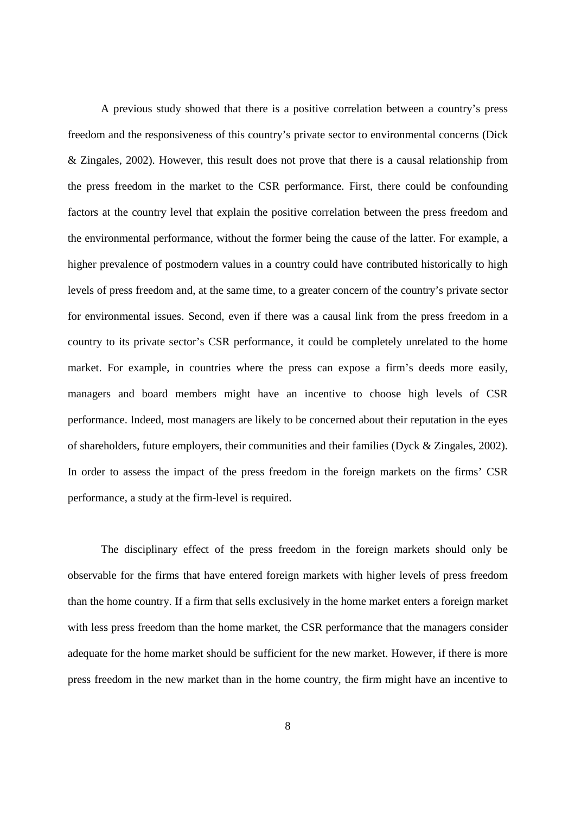A previous study showed that there is a positive correlation between a country's press freedom and the responsiveness of this country's private sector to environmental concerns (Dick & Zingales, 2002). However, this result does not prove that there is a causal relationship from the press freedom in the market to the CSR performance. First, there could be confounding factors at the country level that explain the positive correlation between the press freedom and the environmental performance, without the former being the cause of the latter. For example, a higher prevalence of postmodern values in a country could have contributed historically to high levels of press freedom and, at the same time, to a greater concern of the country's private sector for environmental issues. Second, even if there was a causal link from the press freedom in a country to its private sector's CSR performance, it could be completely unrelated to the home market. For example, in countries where the press can expose a firm's deeds more easily, managers and board members might have an incentive to choose high levels of CSR performance. Indeed, most managers are likely to be concerned about their reputation in the eyes of shareholders, future employers, their communities and their families (Dyck & Zingales, 2002). In order to assess the impact of the press freedom in the foreign markets on the firms' CSR performance, a study at the firm-level is required.

The disciplinary effect of the press freedom in the foreign markets should only be observable for the firms that have entered foreign markets with higher levels of press freedom than the home country. If a firm that sells exclusively in the home market enters a foreign market with less press freedom than the home market, the CSR performance that the managers consider adequate for the home market should be sufficient for the new market. However, if there is more press freedom in the new market than in the home country, the firm might have an incentive to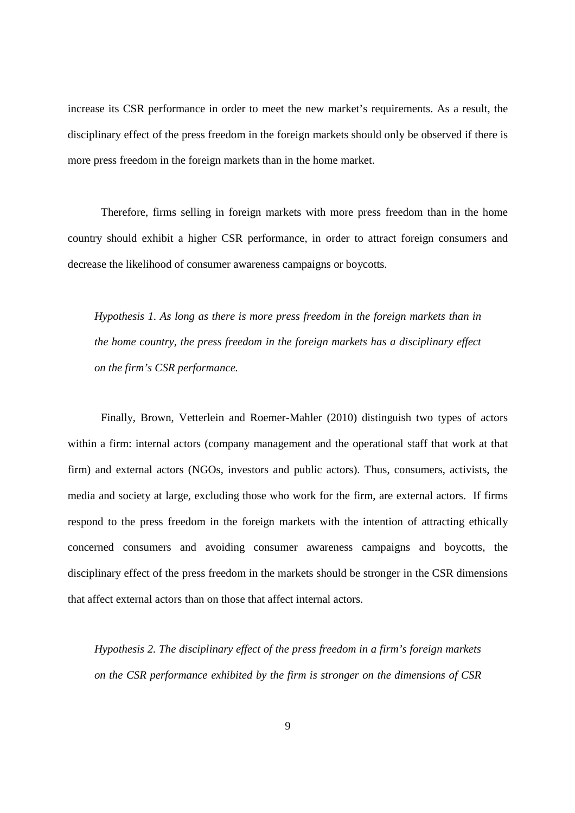increase its CSR performance in order to meet the new market's requirements. As a result, the disciplinary effect of the press freedom in the foreign markets should only be observed if there is more press freedom in the foreign markets than in the home market.

Therefore, firms selling in foreign markets with more press freedom than in the home country should exhibit a higher CSR performance, in order to attract foreign consumers and decrease the likelihood of consumer awareness campaigns or boycotts.

*Hypothesis 1. As long as there is more press freedom in the foreign markets than in the home country, the press freedom in the foreign markets has a disciplinary effect on the firm's CSR performance.* 

Finally, Brown, Vetterlein and Roemer-Mahler (2010) distinguish two types of actors within a firm: internal actors (company management and the operational staff that work at that firm) and external actors (NGOs, investors and public actors). Thus, consumers, activists, the media and society at large, excluding those who work for the firm, are external actors. If firms respond to the press freedom in the foreign markets with the intention of attracting ethically concerned consumers and avoiding consumer awareness campaigns and boycotts, the disciplinary effect of the press freedom in the markets should be stronger in the CSR dimensions that affect external actors than on those that affect internal actors.

*Hypothesis 2. The disciplinary effect of the press freedom in a firm's foreign markets on the CSR performance exhibited by the firm is stronger on the dimensions of CSR*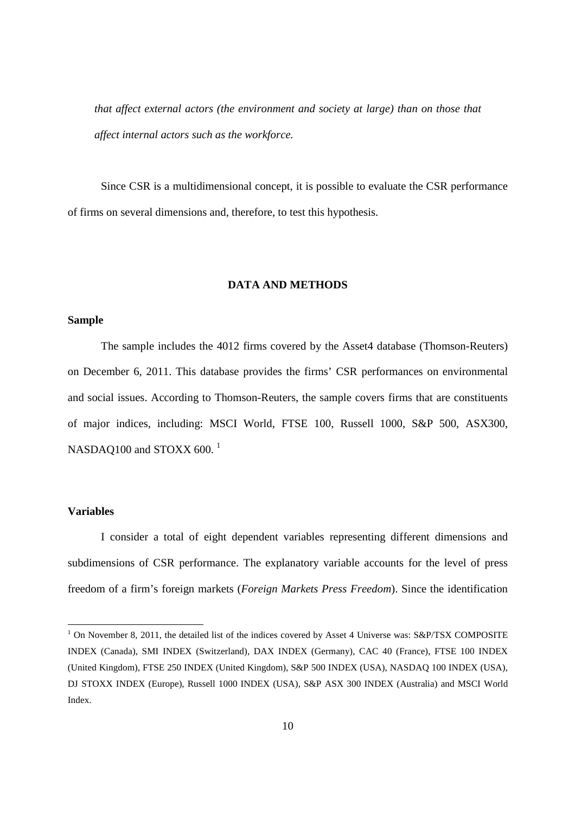*that affect external actors (the environment and society at large) than on those that affect internal actors such as the workforce.* 

Since CSR is a multidimensional concept, it is possible to evaluate the CSR performance of firms on several dimensions and, therefore, to test this hypothesis.

#### **DATA AND METHODS**

### **Sample**

The sample includes the 4012 firms covered by the Asset4 database (Thomson-Reuters) on December 6, 2011. This database provides the firms' CSR performances on environmental and social issues. According to Thomson-Reuters, the sample covers firms that are constituents of major indices, including: MSCI World, FTSE 100, Russell 1000, S&P 500, ASX300, NASDAQ100 and STOXX 600.<sup>1</sup>

#### **Variables**

-

I consider a total of eight dependent variables representing different dimensions and subdimensions of CSR performance. The explanatory variable accounts for the level of press freedom of a firm's foreign markets (*Foreign Markets Press Freedom*). Since the identification

<sup>&</sup>lt;sup>1</sup> On November 8, 2011, the detailed list of the indices covered by Asset 4 Universe was: S&P/TSX COMPOSITE INDEX (Canada), SMI INDEX (Switzerland), DAX INDEX (Germany), CAC 40 (France), FTSE 100 INDEX (United Kingdom), FTSE 250 INDEX (United Kingdom), S&P 500 INDEX (USA), NASDAQ 100 INDEX (USA), DJ STOXX INDEX (Europe), Russell 1000 INDEX (USA), S&P ASX 300 INDEX (Australia) and MSCI World Index.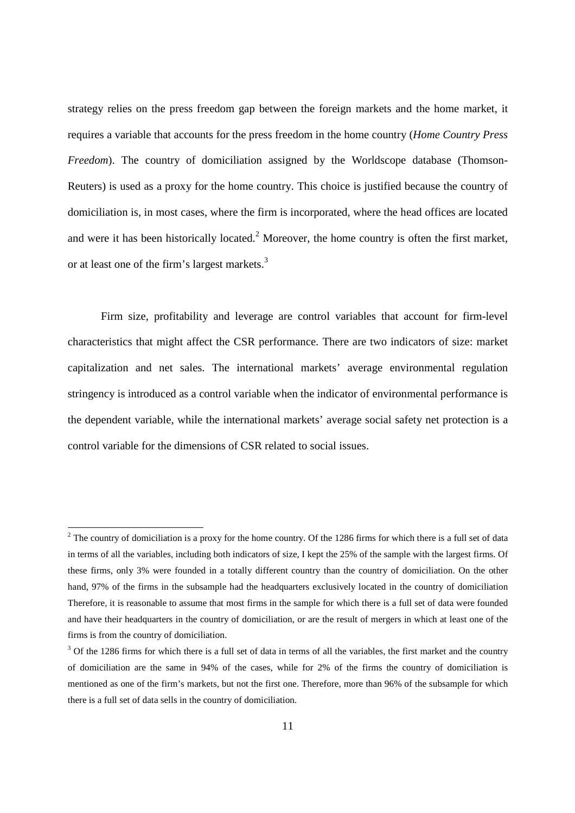strategy relies on the press freedom gap between the foreign markets and the home market, it requires a variable that accounts for the press freedom in the home country (*Home Country Press Freedom*). The country of domiciliation assigned by the Worldscope database (Thomson-Reuters) is used as a proxy for the home country. This choice is justified because the country of domiciliation is, in most cases, where the firm is incorporated, where the head offices are located and were it has been historically located. $2$  Moreover, the home country is often the first market, or at least one of the firm's largest markets.<sup>3</sup>

Firm size, profitability and leverage are control variables that account for firm-level characteristics that might affect the CSR performance. There are two indicators of size: market capitalization and net sales. The international markets' average environmental regulation stringency is introduced as a control variable when the indicator of environmental performance is the dependent variable, while the international markets' average social safety net protection is a control variable for the dimensions of CSR related to social issues.

-

 $2^2$  The country of domiciliation is a proxy for the home country. Of the 1286 firms for which there is a full set of data in terms of all the variables, including both indicators of size, I kept the 25% of the sample with the largest firms. Of these firms, only 3% were founded in a totally different country than the country of domiciliation. On the other hand, 97% of the firms in the subsample had the headquarters exclusively located in the country of domiciliation Therefore, it is reasonable to assume that most firms in the sample for which there is a full set of data were founded and have their headquarters in the country of domiciliation, or are the result of mergers in which at least one of the firms is from the country of domiciliation.

 $3$  Of the 1286 firms for which there is a full set of data in terms of all the variables, the first market and the country of domiciliation are the same in 94% of the cases, while for 2% of the firms the country of domiciliation is mentioned as one of the firm's markets, but not the first one. Therefore, more than 96% of the subsample for which there is a full set of data sells in the country of domiciliation.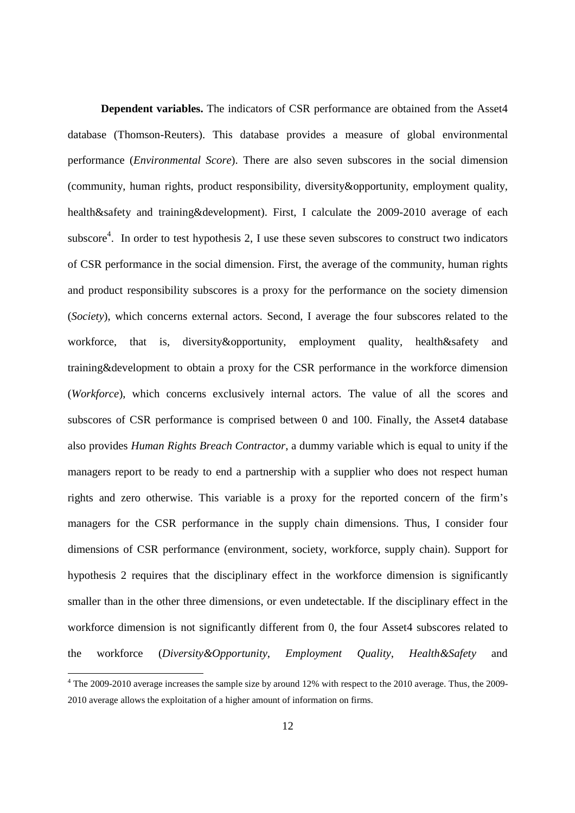**Dependent variables.** The indicators of CSR performance are obtained from the Asset4 database (Thomson-Reuters). This database provides a measure of global environmental performance (*Environmental Score*). There are also seven subscores in the social dimension (community, human rights, product responsibility, diversity&opportunity, employment quality, health&safety and training&development). First, I calculate the 2009-2010 average of each subscore<sup>4</sup>. In order to test hypothesis 2, I use these seven subscores to construct two indicators of CSR performance in the social dimension. First, the average of the community, human rights and product responsibility subscores is a proxy for the performance on the society dimension (*Society*), which concerns external actors. Second, I average the four subscores related to the workforce, that is, diversity&opportunity, employment quality, health&safety and training&development to obtain a proxy for the CSR performance in the workforce dimension (*Workforce*), which concerns exclusively internal actors. The value of all the scores and subscores of CSR performance is comprised between 0 and 100. Finally, the Asset4 database also provides *Human Rights Breach Contractor*, a dummy variable which is equal to unity if the managers report to be ready to end a partnership with a supplier who does not respect human rights and zero otherwise. This variable is a proxy for the reported concern of the firm's managers for the CSR performance in the supply chain dimensions. Thus, I consider four dimensions of CSR performance (environment, society, workforce, supply chain). Support for hypothesis 2 requires that the disciplinary effect in the workforce dimension is significantly smaller than in the other three dimensions, or even undetectable. If the disciplinary effect in the workforce dimension is not significantly different from 0, the four Asset4 subscores related to the workforce (*Diversity&Opportunity*, *Employment Quality*, *Health&Safety* and

-

<sup>&</sup>lt;sup>4</sup> The 2009-2010 average increases the sample size by around 12% with respect to the 2010 average. Thus, the 2009-2010 average allows the exploitation of a higher amount of information on firms.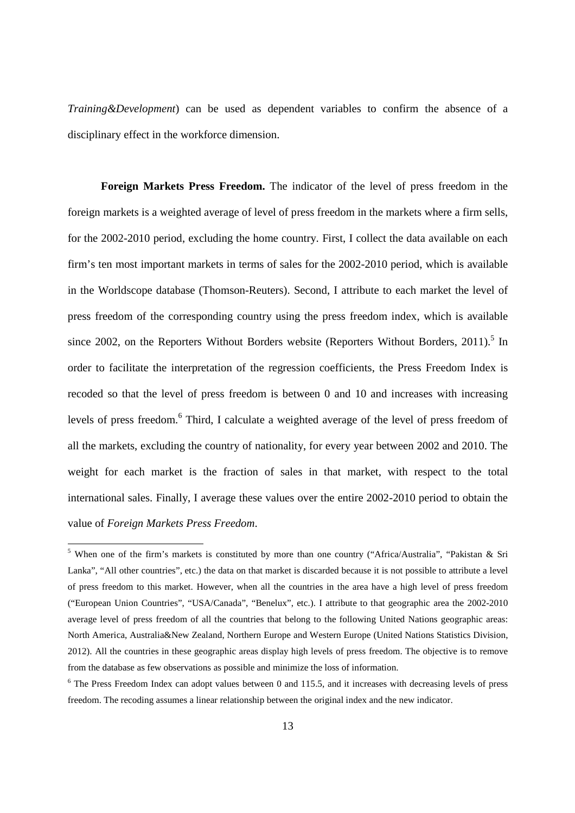*Training&Development*) can be used as dependent variables to confirm the absence of a disciplinary effect in the workforce dimension.

**Foreign Markets Press Freedom.** The indicator of the level of press freedom in the foreign markets is a weighted average of level of press freedom in the markets where a firm sells, for the 2002-2010 period, excluding the home country. First, I collect the data available on each firm's ten most important markets in terms of sales for the 2002-2010 period, which is available in the Worldscope database (Thomson-Reuters). Second, I attribute to each market the level of press freedom of the corresponding country using the press freedom index, which is available since 2002, on the Reporters Without Borders website (Reporters Without Borders, 2011).<sup>5</sup> In order to facilitate the interpretation of the regression coefficients, the Press Freedom Index is recoded so that the level of press freedom is between 0 and 10 and increases with increasing levels of press freedom.<sup>6</sup> Third, I calculate a weighted average of the level of press freedom of all the markets, excluding the country of nationality, for every year between 2002 and 2010. The weight for each market is the fraction of sales in that market, with respect to the total international sales. Finally, I average these values over the entire 2002-2010 period to obtain the value of *Foreign Markets Press Freedom*.

<u>.</u>

<sup>&</sup>lt;sup>5</sup> When one of the firm's markets is constituted by more than one country ("Africa/Australia", "Pakistan & Sri Lanka", "All other countries", etc.) the data on that market is discarded because it is not possible to attribute a level of press freedom to this market. However, when all the countries in the area have a high level of press freedom ("European Union Countries", "USA/Canada", "Benelux", etc.). I attribute to that geographic area the 2002-2010 average level of press freedom of all the countries that belong to the following United Nations geographic areas: North America, Australia&New Zealand, Northern Europe and Western Europe (United Nations Statistics Division, 2012). All the countries in these geographic areas display high levels of press freedom. The objective is to remove from the database as few observations as possible and minimize the loss of information.

<sup>&</sup>lt;sup>6</sup> The Press Freedom Index can adopt values between 0 and 115.5, and it increases with decreasing levels of press freedom. The recoding assumes a linear relationship between the original index and the new indicator.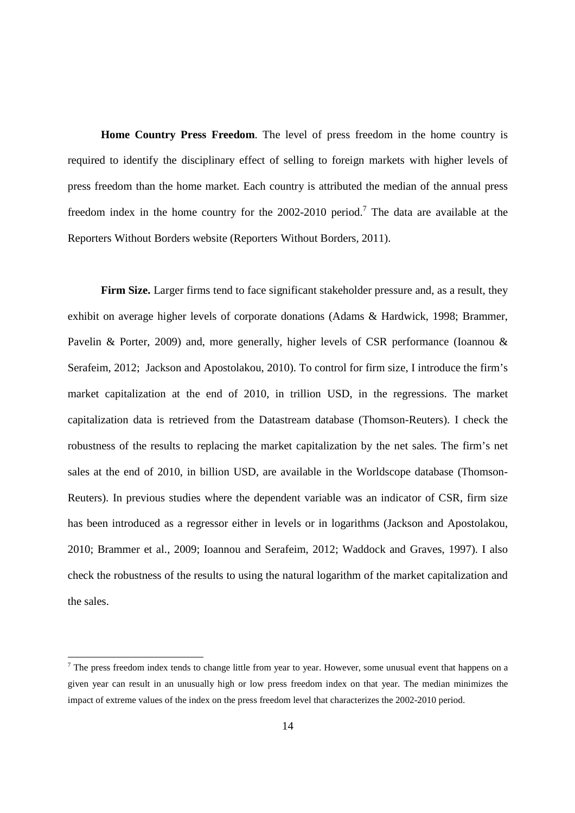**Home Country Press Freedom**. The level of press freedom in the home country is required to identify the disciplinary effect of selling to foreign markets with higher levels of press freedom than the home market. Each country is attributed the median of the annual press freedom index in the home country for the  $2002-2010$  period.<sup>7</sup> The data are available at the Reporters Without Borders website (Reporters Without Borders, 2011).

Firm Size. Larger firms tend to face significant stakeholder pressure and, as a result, they exhibit on average higher levels of corporate donations (Adams & Hardwick, 1998; Brammer, Pavelin & Porter, 2009) and, more generally, higher levels of CSR performance (Ioannou & Serafeim, 2012; Jackson and Apostolakou, 2010). To control for firm size, I introduce the firm's market capitalization at the end of 2010, in trillion USD, in the regressions. The market capitalization data is retrieved from the Datastream database (Thomson-Reuters). I check the robustness of the results to replacing the market capitalization by the net sales. The firm's net sales at the end of 2010, in billion USD, are available in the Worldscope database (Thomson-Reuters). In previous studies where the dependent variable was an indicator of CSR, firm size has been introduced as a regressor either in levels or in logarithms (Jackson and Apostolakou, 2010; Brammer et al., 2009; Ioannou and Serafeim, 2012; Waddock and Graves, 1997). I also check the robustness of the results to using the natural logarithm of the market capitalization and the sales.

-

 $<sup>7</sup>$  The press freedom index tends to change little from year to year. However, some unusual event that happens on a</sup> given year can result in an unusually high or low press freedom index on that year. The median minimizes the impact of extreme values of the index on the press freedom level that characterizes the 2002-2010 period.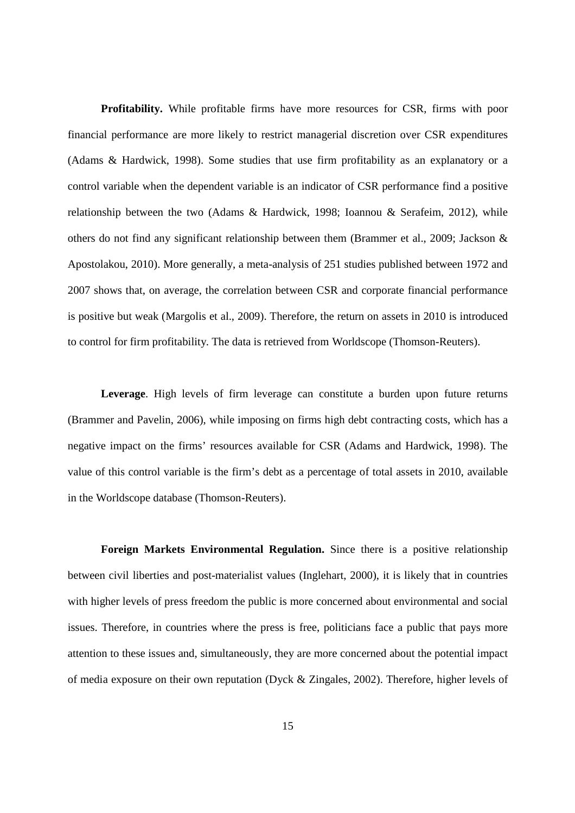**Profitability.** While profitable firms have more resources for CSR, firms with poor financial performance are more likely to restrict managerial discretion over CSR expenditures (Adams & Hardwick, 1998). Some studies that use firm profitability as an explanatory or a control variable when the dependent variable is an indicator of CSR performance find a positive relationship between the two (Adams & Hardwick, 1998; Ioannou & Serafeim, 2012), while others do not find any significant relationship between them (Brammer et al., 2009; Jackson & Apostolakou, 2010). More generally, a meta-analysis of 251 studies published between 1972 and 2007 shows that, on average, the correlation between CSR and corporate financial performance is positive but weak (Margolis et al., 2009). Therefore, the return on assets in 2010 is introduced to control for firm profitability. The data is retrieved from Worldscope (Thomson-Reuters).

**Leverage**. High levels of firm leverage can constitute a burden upon future returns (Brammer and Pavelin, 2006), while imposing on firms high debt contracting costs, which has a negative impact on the firms' resources available for CSR (Adams and Hardwick, 1998). The value of this control variable is the firm's debt as a percentage of total assets in 2010, available in the Worldscope database (Thomson-Reuters).

**Foreign Markets Environmental Regulation.** Since there is a positive relationship between civil liberties and post-materialist values (Inglehart, 2000), it is likely that in countries with higher levels of press freedom the public is more concerned about environmental and social issues. Therefore, in countries where the press is free, politicians face a public that pays more attention to these issues and, simultaneously, they are more concerned about the potential impact of media exposure on their own reputation (Dyck & Zingales, 2002). Therefore, higher levels of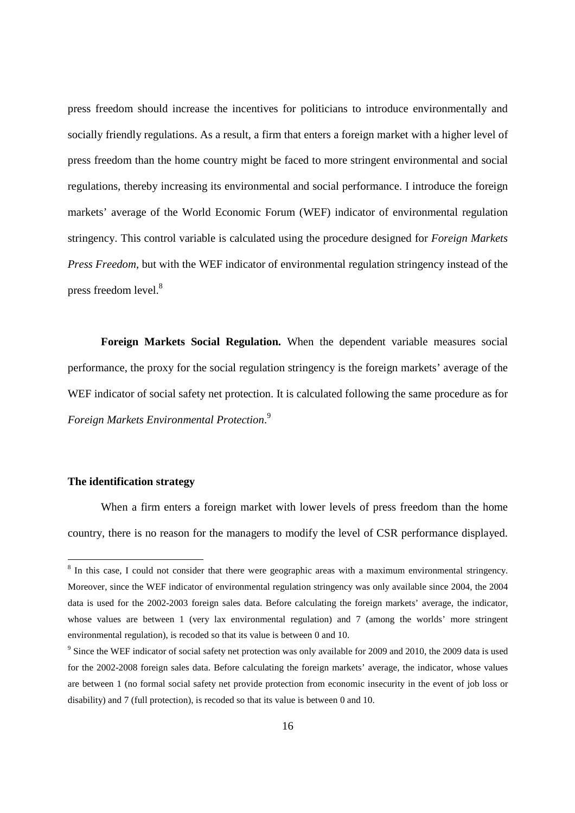press freedom should increase the incentives for politicians to introduce environmentally and socially friendly regulations. As a result, a firm that enters a foreign market with a higher level of press freedom than the home country might be faced to more stringent environmental and social regulations, thereby increasing its environmental and social performance. I introduce the foreign markets' average of the World Economic Forum (WEF) indicator of environmental regulation stringency. This control variable is calculated using the procedure designed for *Foreign Markets Press Freedom*, but with the WEF indicator of environmental regulation stringency instead of the press freedom level.<sup>8</sup>

**Foreign Markets Social Regulation.** When the dependent variable measures social performance, the proxy for the social regulation stringency is the foreign markets' average of the WEF indicator of social safety net protection. It is calculated following the same procedure as for *Foreign Markets Environmental Protection*. 9

### **The identification strategy**

-

When a firm enters a foreign market with lower levels of press freedom than the home country, there is no reason for the managers to modify the level of CSR performance displayed.

<sup>&</sup>lt;sup>8</sup> In this case, I could not consider that there were geographic areas with a maximum environmental stringency. Moreover, since the WEF indicator of environmental regulation stringency was only available since 2004, the 2004 data is used for the 2002-2003 foreign sales data. Before calculating the foreign markets' average, the indicator, whose values are between 1 (very lax environmental regulation) and 7 (among the worlds' more stringent environmental regulation), is recoded so that its value is between 0 and 10.

<sup>&</sup>lt;sup>9</sup> Since the WEF indicator of social safety net protection was only available for 2009 and 2010, the 2009 data is used for the 2002-2008 foreign sales data. Before calculating the foreign markets' average, the indicator, whose values are between 1 (no formal social safety net provide protection from economic insecurity in the event of job loss or disability) and 7 (full protection), is recoded so that its value is between 0 and 10.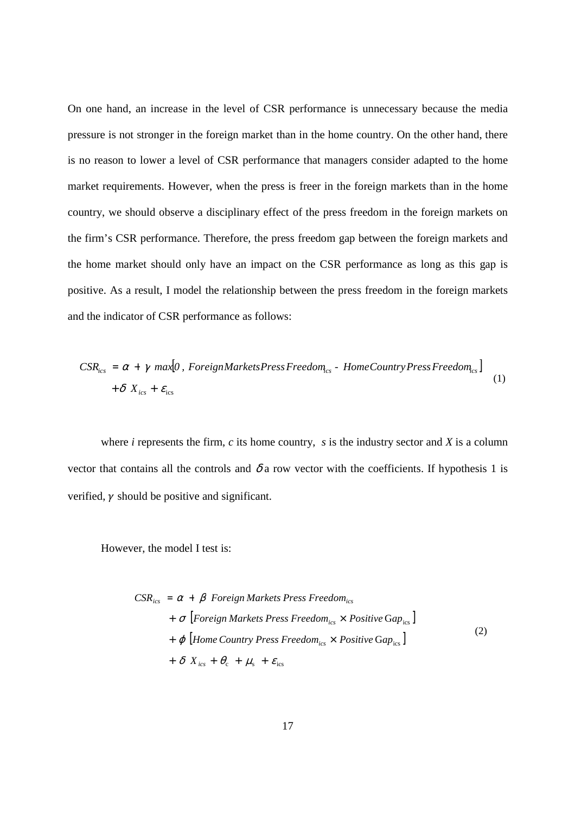On one hand, an increase in the level of CSR performance is unnecessary because the media pressure is not stronger in the foreign market than in the home country. On the other hand, there is no reason to lower a level of CSR performance that managers consider adapted to the home market requirements. However, when the press is freer in the foreign markets than in the home country, we should observe a disciplinary effect of the press freedom in the foreign markets on the firm's CSR performance. Therefore, the press freedom gap between the foreign markets and the home market should only have an impact on the CSR performance as long as this gap is positive. As a result, I model the relationship between the press freedom in the foreign markets and the indicator of CSR performance as follows:

$$
CSR_{ics} = \alpha + \gamma \text{ } max[0, \text{ } Foreign Markets Press Freedom_{cs} - Home Country Press Freedom_{cs}] + \delta \text{ } X_{ics} + \varepsilon_{ics}
$$
\n
$$
(1)
$$

where  $i$  represents the firm,  $c$  its home country,  $s$  is the industry sector and  $X$  is a column vector that contains all the controls and  $\delta$  a row vector with the coefficients. If hypothesis 1 is verified,  $\nu$  should be positive and significant.

However, the model I test is:

$$
CSR_{ics} = \alpha + \beta \ Foreign Markets Press Freedom_{ics}
$$
  
+  $\sigma$  [Foreign Markets Press Freedom\_{ics} × Positive Gap\_{ics}]  
+  $\varphi$  [Home Country Press Freedom\_{ics} × Positive Gap\_{ics}]  
+  $\delta X_{ics} + \theta_c + \mu_s + \varepsilon_{ics}$  (2)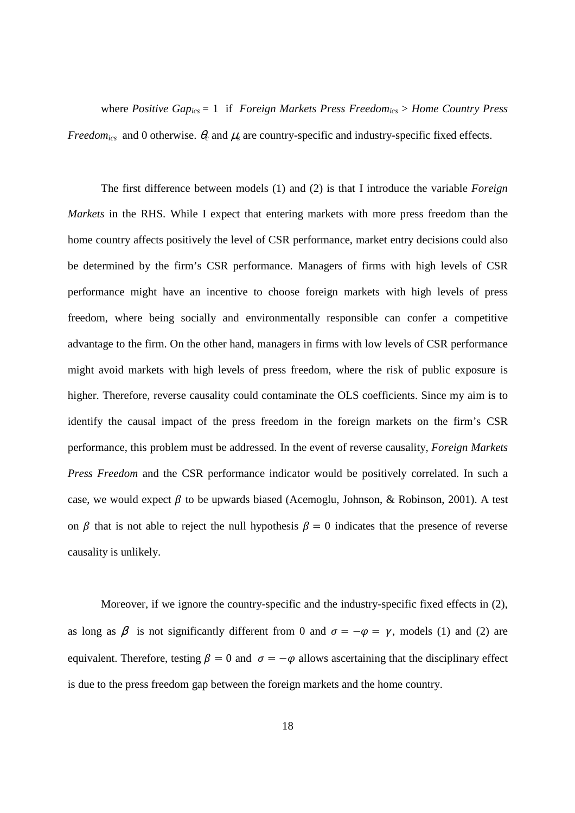where *Positive Gapics* = 1 if *Foreign Markets Press Freedomics* > *Home Country Press Freedom*<sub>ics</sub> and 0 otherwise.  $\theta_c$  and  $\mu_s$  are country-specific and industry-specific fixed effects.

The first difference between models (1) and (2) is that I introduce the variable *Foreign Markets* in the RHS. While I expect that entering markets with more press freedom than the home country affects positively the level of CSR performance, market entry decisions could also be determined by the firm's CSR performance. Managers of firms with high levels of CSR performance might have an incentive to choose foreign markets with high levels of press freedom, where being socially and environmentally responsible can confer a competitive advantage to the firm. On the other hand, managers in firms with low levels of CSR performance might avoid markets with high levels of press freedom, where the risk of public exposure is higher. Therefore, reverse causality could contaminate the OLS coefficients. Since my aim is to identify the causal impact of the press freedom in the foreign markets on the firm's CSR performance, this problem must be addressed. In the event of reverse causality, *Foreign Markets Press Freedom* and the CSR performance indicator would be positively correlated. In such a case, we would expect  $\beta$  to be upwards biased (Acemoglu, Johnson, & Robinson, 2001). A test on  $\beta$  that is not able to reject the null hypothesis  $\beta = 0$  indicates that the presence of reverse causality is unlikely.

Moreover, if we ignore the country-specific and the industry-specific fixed effects in (2), as long as  $\beta$  is not significantly different from 0 and  $\sigma = -\varphi = \gamma$ , models (1) and (2) are equivalent. Therefore, testing  $\beta = 0$  and  $\sigma = -\varphi$  allows ascertaining that the disciplinary effect is due to the press freedom gap between the foreign markets and the home country.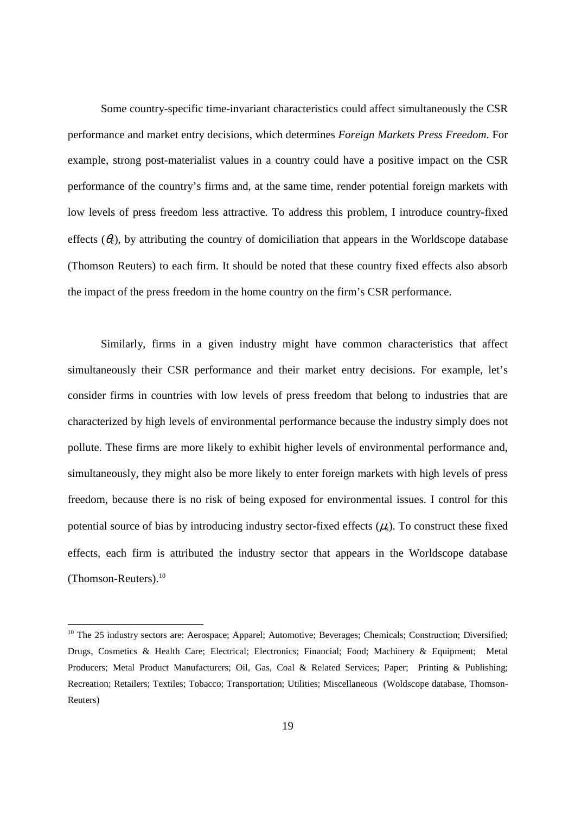Some country-specific time-invariant characteristics could affect simultaneously the CSR performance and market entry decisions, which determines *Foreign Markets Press Freedom*. For example, strong post-materialist values in a country could have a positive impact on the CSR performance of the country's firms and, at the same time, render potential foreign markets with low levels of press freedom less attractive. To address this problem, I introduce country-fixed effects  $(\theta_c)$ , by attributing the country of domiciliation that appears in the Worldscope database (Thomson Reuters) to each firm. It should be noted that these country fixed effects also absorb the impact of the press freedom in the home country on the firm's CSR performance.

Similarly, firms in a given industry might have common characteristics that affect simultaneously their CSR performance and their market entry decisions. For example, let's consider firms in countries with low levels of press freedom that belong to industries that are characterized by high levels of environmental performance because the industry simply does not pollute. These firms are more likely to exhibit higher levels of environmental performance and, simultaneously, they might also be more likely to enter foreign markets with high levels of press freedom, because there is no risk of being exposed for environmental issues. I control for this potential source of bias by introducing industry sector-fixed effects  $(\mu_s)$ . To construct these fixed effects, each firm is attributed the industry sector that appears in the Worldscope database (Thomson-Reuters).<sup>10</sup>

-

<sup>&</sup>lt;sup>10</sup> The 25 industry sectors are: Aerospace; Apparel; Automotive; Beverages; Chemicals; Construction; Diversified; Drugs, Cosmetics & Health Care; Electrical; Electronics; Financial; Food; Machinery & Equipment; Metal Producers; Metal Product Manufacturers; Oil, Gas, Coal & Related Services; Paper; Printing & Publishing; Recreation; Retailers; Textiles; Tobacco; Transportation; Utilities; Miscellaneous (Woldscope database, Thomson-Reuters)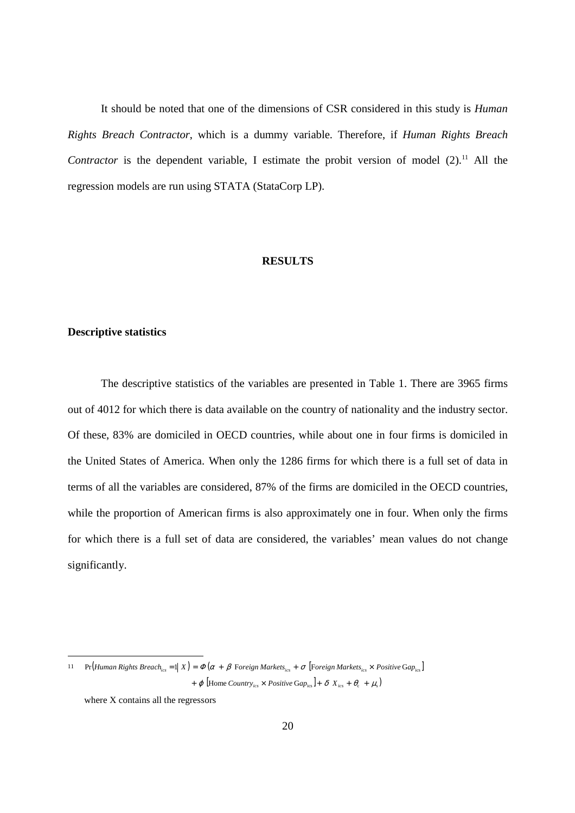It should be noted that one of the dimensions of CSR considered in this study is *Human Rights Breach Contractor*, which is a dummy variable. Therefore, if *Human Rights Breach Contractor* is the dependent variable, I estimate the probit version of model  $(2)$ .<sup>11</sup> All the regression models are run using STATA (StataCorp LP).

# **RESULTS**

#### **Descriptive statistics**

The descriptive statistics of the variables are presented in Table 1. There are 3965 firms out of 4012 for which there is data available on the country of nationality and the industry sector. Of these, 83% are domiciled in OECD countries, while about one in four firms is domiciled in the United States of America. When only the 1286 firms for which there is a full set of data in terms of all the variables are considered, 87% of the firms are domiciled in the OECD countries, while the proportion of American firms is also approximately one in four. When only the firms for which there is a full set of data are considered, the variables' mean values do not change significantly.

-

<sup>11</sup> Pr (Human Rights Breach<sub>ics</sub> =  $\parallel X$ ) =  $\Phi(\alpha + \beta$  Foreign Markets<sub>ics</sub> +  $\sigma$  [Foreign Markets<sub>ics</sub> × Positive Gap<sub>ics</sub>]  $+ \varphi$  [Home Country<sub>ics</sub>  $\times$  Positive Gap<sub>ics</sub>] +  $\delta$  X<sub>ics</sub> +  $\theta_c$  +  $\mu_s$ )

where X contains all the regressors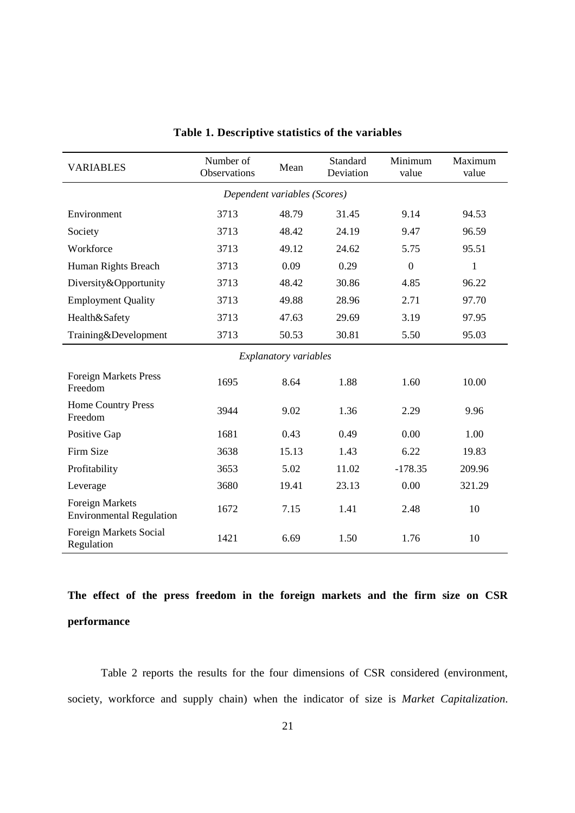| <b>VARIABLES</b>                                          | Number of<br>Observations | Mean  | Standard<br>Deviation | Minimum<br>value | Maximum<br>value |  |  |  |
|-----------------------------------------------------------|---------------------------|-------|-----------------------|------------------|------------------|--|--|--|
| Dependent variables (Scores)                              |                           |       |                       |                  |                  |  |  |  |
| Environment                                               | 3713                      | 48.79 | 31.45                 | 9.14             | 94.53            |  |  |  |
| Society                                                   | 3713                      | 48.42 | 24.19                 | 9.47             | 96.59            |  |  |  |
| Workforce                                                 | 3713                      | 49.12 | 24.62                 | 5.75             | 95.51            |  |  |  |
| Human Rights Breach                                       | 3713                      | 0.09  | 0.29                  | $\overline{0}$   | 1                |  |  |  |
| Diversity&Opportunity                                     | 3713                      | 48.42 | 30.86                 | 4.85             | 96.22            |  |  |  |
| <b>Employment Quality</b>                                 | 3713                      | 49.88 | 28.96                 | 2.71             | 97.70            |  |  |  |
| Health&Safety                                             | 3713                      | 47.63 | 29.69                 | 3.19             | 97.95            |  |  |  |
| Training&Development                                      | 3713                      | 50.53 | 30.81                 | 5.50             | 95.03            |  |  |  |
| <b>Explanatory variables</b>                              |                           |       |                       |                  |                  |  |  |  |
| <b>Foreign Markets Press</b><br>Freedom                   | 1695                      | 8.64  | 1.88                  | 1.60             | 10.00            |  |  |  |
| <b>Home Country Press</b><br>Freedom                      | 3944                      | 9.02  | 1.36                  | 2.29             | 9.96             |  |  |  |
| Positive Gap                                              | 1681                      | 0.43  | 0.49                  | 0.00             | 1.00             |  |  |  |
| Firm Size                                                 | 3638                      | 15.13 | 1.43                  | 6.22             | 19.83            |  |  |  |
| Profitability                                             | 3653                      | 5.02  | 11.02                 | $-178.35$        | 209.96           |  |  |  |
| Leverage                                                  | 3680                      | 19.41 | 23.13                 | 0.00             | 321.29           |  |  |  |
| <b>Foreign Markets</b><br><b>Environmental Regulation</b> | 1672                      | 7.15  | 1.41                  | 2.48             | 10               |  |  |  |
| Foreign Markets Social<br>Regulation                      | 1421                      | 6.69  | 1.50                  | 1.76             | 10               |  |  |  |

# **Table 1. Descriptive statistics of the variables**

**The effect of the press freedom in the foreign markets and the firm size on CSR performance** 

Table 2 reports the results for the four dimensions of CSR considered (environment, society, workforce and supply chain) when the indicator of size is *Market Capitalization*.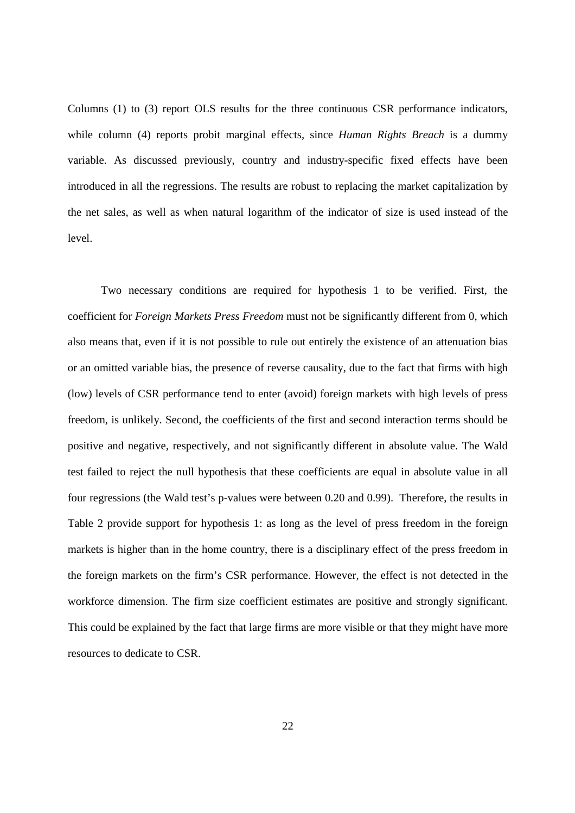Columns (1) to (3) report OLS results for the three continuous CSR performance indicators, while column (4) reports probit marginal effects, since *Human Rights Breach* is a dummy variable. As discussed previously, country and industry-specific fixed effects have been introduced in all the regressions. The results are robust to replacing the market capitalization by the net sales, as well as when natural logarithm of the indicator of size is used instead of the level.

Two necessary conditions are required for hypothesis 1 to be verified. First, the coefficient for *Foreign Markets Press Freedom* must not be significantly different from 0, which also means that, even if it is not possible to rule out entirely the existence of an attenuation bias or an omitted variable bias, the presence of reverse causality, due to the fact that firms with high (low) levels of CSR performance tend to enter (avoid) foreign markets with high levels of press freedom, is unlikely. Second, the coefficients of the first and second interaction terms should be positive and negative, respectively, and not significantly different in absolute value. The Wald test failed to reject the null hypothesis that these coefficients are equal in absolute value in all four regressions (the Wald test's p-values were between 0.20 and 0.99). Therefore, the results in Table 2 provide support for hypothesis 1: as long as the level of press freedom in the foreign markets is higher than in the home country, there is a disciplinary effect of the press freedom in the foreign markets on the firm's CSR performance. However, the effect is not detected in the workforce dimension. The firm size coefficient estimates are positive and strongly significant. This could be explained by the fact that large firms are more visible or that they might have more resources to dedicate to CSR.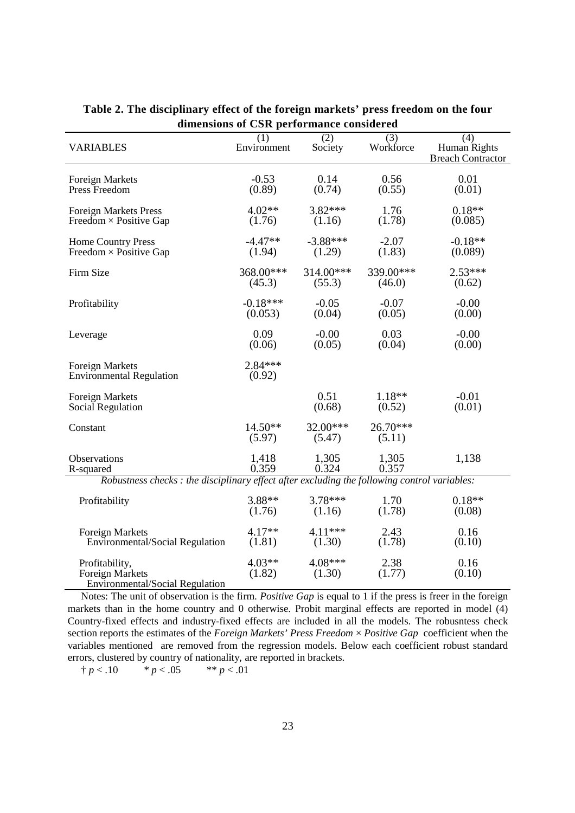| <b>VARIABLES</b>                                                                             | (1)<br>Environment  | (2)<br>Society       | (3)<br>Workforce     | (4)<br>Human Rights<br><b>Breach Contractor</b> |  |  |  |
|----------------------------------------------------------------------------------------------|---------------------|----------------------|----------------------|-------------------------------------------------|--|--|--|
| <b>Foreign Markets</b>                                                                       | $-0.53$             | 0.14                 | 0.56                 | 0.01                                            |  |  |  |
| Press Freedom                                                                                | (0.89)              | (0.74)               | (0.55)               | (0.01)                                          |  |  |  |
| <b>Foreign Markets Press</b>                                                                 | $4.02**$            | $3.82***$            | 1.76                 | $0.18**$                                        |  |  |  |
| Freedom $\times$ Positive Gap                                                                | (1.76)              | (1.16)               | (1.78)               | (0.085)                                         |  |  |  |
| Home Country Press                                                                           | $-4.47**$           | $-3.88***$           | $-2.07$              | $-0.18**$                                       |  |  |  |
| Freedom $\times$ Positive Gap                                                                | (1.94)              | (1.29)               | (1.83)               | (0.089)                                         |  |  |  |
| Firm Size                                                                                    | 368.00***           | $314.00***$          | 339.00***            | $2.53***$                                       |  |  |  |
|                                                                                              | (45.3)              | (55.3)               | (46.0)               | (0.62)                                          |  |  |  |
| Profitability                                                                                | $-0.18***$          | $-0.05$              | $-0.07$              | $-0.00$                                         |  |  |  |
|                                                                                              | (0.053)             | (0.04)               | (0.05)               | (0.00)                                          |  |  |  |
| Leverage                                                                                     | 0.09                | $-0.00$              | 0.03                 | $-0.00$                                         |  |  |  |
|                                                                                              | (0.06)              | (0.05)               | (0.04)               | (0.00)                                          |  |  |  |
| <b>Foreign Markets</b><br><b>Environmental Regulation</b>                                    | $2.84***$<br>(0.92) |                      |                      |                                                 |  |  |  |
| <b>Foreign Markets</b>                                                                       |                     | 0.51                 | $1.18**$             | $-0.01$                                         |  |  |  |
| Social Regulation                                                                            |                     | (0.68)               | (0.52)               | (0.01)                                          |  |  |  |
| Constant                                                                                     | $14.50**$<br>(5.97) | $32.00***$<br>(5.47) | $26.70***$<br>(5.11) |                                                 |  |  |  |
| Observations                                                                                 | 1,418               | 1,305                | 1,305                | 1,138                                           |  |  |  |
| R-squared                                                                                    | 0.359               | 0.324                | 0.357                |                                                 |  |  |  |
| Robustness checks : the disciplinary effect after excluding the following control variables: |                     |                      |                      |                                                 |  |  |  |
| Profitability                                                                                | $3.88**$            | $3.78***$            | 1.70                 | $0.18**$                                        |  |  |  |
|                                                                                              | (1.76)              | (1.16)               | (1.78)               | (0.08)                                          |  |  |  |
| <b>Foreign Markets</b>                                                                       | $4.17**$            | $4.11***$            | 2.43                 | 0.16                                            |  |  |  |
| Environmental/Social Regulation                                                              | (1.81)              | (1.30)               | (1.78)               | (0.10)                                          |  |  |  |
| Profitability,<br>Foreign Markets<br>Environmental/Social Regulation                         | $4.03**$<br>(1.82)  | 4.08***<br>(1.30)    | 2.38<br>(1.77)       | 0.16<br>(0.10)                                  |  |  |  |

**Table 2. The disciplinary effect of the foreign markets' press freedom on the four dimensions of CSR performance considered** 

Notes: The unit of observation is the firm. *Positive Gap* is equal to 1 if the press is freer in the foreign markets than in the home country and 0 otherwise. Probit marginal effects are reported in model (4) Country-fixed effects and industry-fixed effects are included in all the models. The robusntess check section reports the estimates of the *Foreign Markets' Press Freedom* × *Positive Gap* coefficient when the variables mentioned are removed from the regression models. Below each coefficient robust standard errors, clustered by country of nationality, are reported in brackets.

 $\frac{1}{p} p < 0.10$  \* *p* < .05 \*\* *p* < .01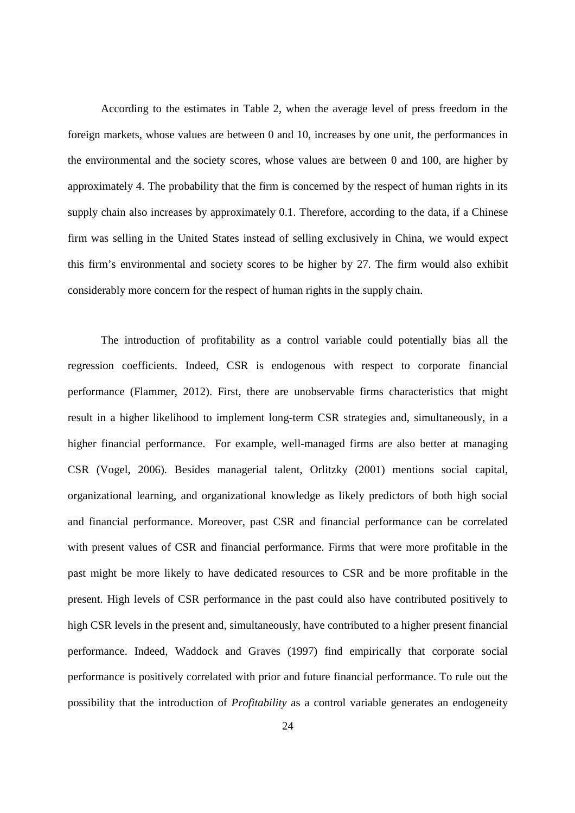According to the estimates in Table 2, when the average level of press freedom in the foreign markets, whose values are between 0 and 10, increases by one unit, the performances in the environmental and the society scores, whose values are between 0 and 100, are higher by approximately 4. The probability that the firm is concerned by the respect of human rights in its supply chain also increases by approximately 0.1. Therefore, according to the data, if a Chinese firm was selling in the United States instead of selling exclusively in China, we would expect this firm's environmental and society scores to be higher by 27. The firm would also exhibit considerably more concern for the respect of human rights in the supply chain.

The introduction of profitability as a control variable could potentially bias all the regression coefficients. Indeed, CSR is endogenous with respect to corporate financial performance (Flammer, 2012). First, there are unobservable firms characteristics that might result in a higher likelihood to implement long-term CSR strategies and, simultaneously, in a higher financial performance. For example, well-managed firms are also better at managing CSR (Vogel, 2006). Besides managerial talent, Orlitzky (2001) mentions social capital, organizational learning, and organizational knowledge as likely predictors of both high social and financial performance. Moreover, past CSR and financial performance can be correlated with present values of CSR and financial performance. Firms that were more profitable in the past might be more likely to have dedicated resources to CSR and be more profitable in the present. High levels of CSR performance in the past could also have contributed positively to high CSR levels in the present and, simultaneously, have contributed to a higher present financial performance. Indeed, Waddock and Graves (1997) find empirically that corporate social performance is positively correlated with prior and future financial performance. To rule out the possibility that the introduction of *Profitability* as a control variable generates an endogeneity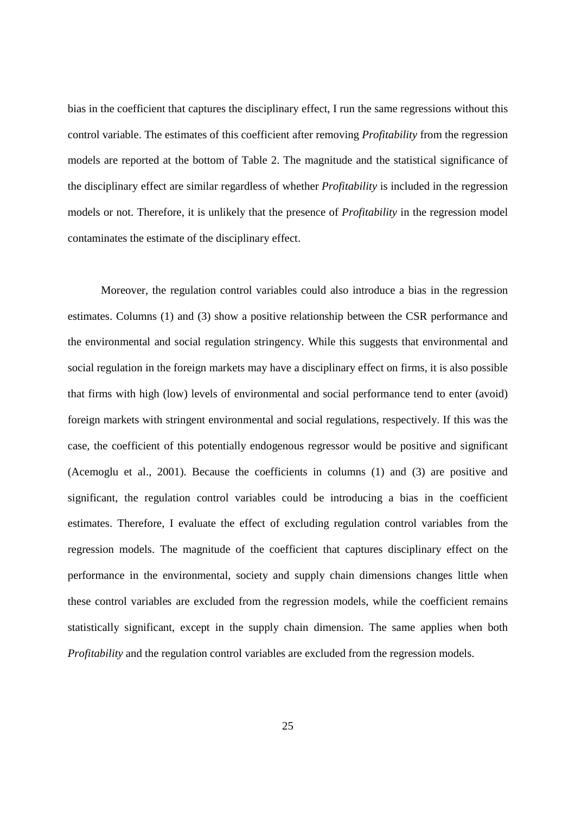bias in the coefficient that captures the disciplinary effect, I run the same regressions without this control variable. The estimates of this coefficient after removing *Profitability* from the regression models are reported at the bottom of Table 2. The magnitude and the statistical significance of the disciplinary effect are similar regardless of whether *Profitability* is included in the regression models or not. Therefore, it is unlikely that the presence of *Profitability* in the regression model contaminates the estimate of the disciplinary effect.

Moreover, the regulation control variables could also introduce a bias in the regression estimates. Columns (1) and (3) show a positive relationship between the CSR performance and the environmental and social regulation stringency. While this suggests that environmental and social regulation in the foreign markets may have a disciplinary effect on firms, it is also possible that firms with high (low) levels of environmental and social performance tend to enter (avoid) foreign markets with stringent environmental and social regulations, respectively. If this was the case, the coefficient of this potentially endogenous regressor would be positive and significant (Acemoglu et al., 2001). Because the coefficients in columns (1) and (3) are positive and significant, the regulation control variables could be introducing a bias in the coefficient estimates. Therefore, I evaluate the effect of excluding regulation control variables from the regression models. The magnitude of the coefficient that captures disciplinary effect on the performance in the environmental, society and supply chain dimensions changes little when these control variables are excluded from the regression models, while the coefficient remains statistically significant, except in the supply chain dimension. The same applies when both *Profitability* and the regulation control variables are excluded from the regression models.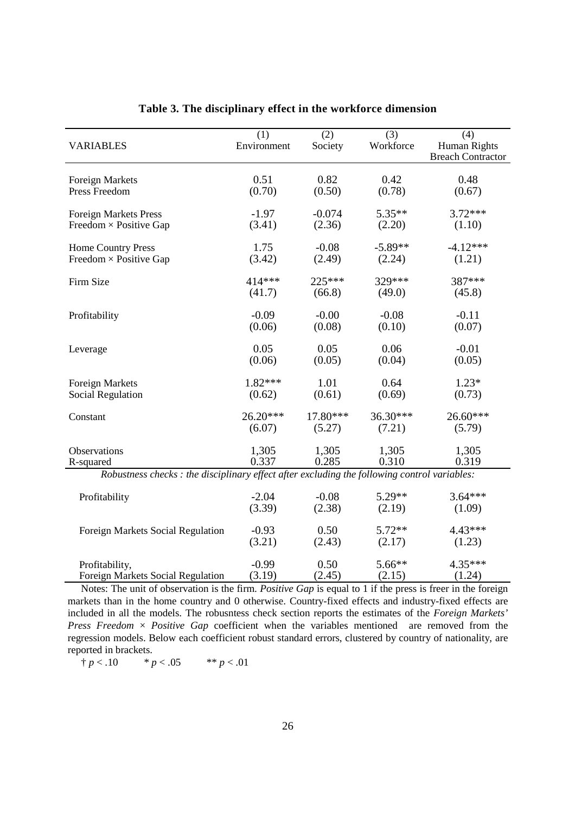|                                                                                              | (1)         | (2)      | (3)       | (4)                      |
|----------------------------------------------------------------------------------------------|-------------|----------|-----------|--------------------------|
| <b>VARIABLES</b>                                                                             | Environment | Society  | Workforce | <b>Human Rights</b>      |
|                                                                                              |             |          |           | <b>Breach Contractor</b> |
|                                                                                              |             |          |           |                          |
| <b>Foreign Markets</b>                                                                       | 0.51        | 0.82     | 0.42      | 0.48                     |
| Press Freedom                                                                                | (0.70)      | (0.50)   | (0.78)    | (0.67)                   |
|                                                                                              |             |          |           |                          |
| <b>Foreign Markets Press</b>                                                                 | $-1.97$     | $-0.074$ | $5.35**$  | $3.72***$                |
| Freedom $\times$ Positive Gap                                                                | (3.41)      | (2.36)   | (2.20)    | (1.10)                   |
|                                                                                              |             |          |           |                          |
| Home Country Press                                                                           | 1.75        | $-0.08$  | $-5.89**$ | $-4.12***$               |
| Freedom $\times$ Positive Gap                                                                | (3.42)      | (2.49)   | (2.24)    | (1.21)                   |
|                                                                                              |             |          |           |                          |
| Firm Size                                                                                    | 414***      | 225***   | 329***    | 387***                   |
|                                                                                              | (41.7)      | (66.8)   | (49.0)    | (45.8)                   |
|                                                                                              |             |          |           |                          |
| Profitability                                                                                | $-0.09$     | $-0.00$  | $-0.08$   | $-0.11$                  |
|                                                                                              | (0.06)      | (0.08)   | (0.10)    | (0.07)                   |
|                                                                                              |             |          |           |                          |
|                                                                                              | 0.05        | 0.05     | 0.06      | $-0.01$                  |
| Leverage                                                                                     | (0.06)      | (0.05)   | (0.04)    | (0.05)                   |
|                                                                                              |             |          |           |                          |
| <b>Foreign Markets</b>                                                                       | $1.82***$   | 1.01     | 0.64      | $1.23*$                  |
|                                                                                              |             |          |           |                          |
| Social Regulation                                                                            | (0.62)      | (0.61)   | (0.69)    | (0.73)                   |
|                                                                                              | 26.20***    | 17.80*** | 36.30***  | 26.60***                 |
| Constant                                                                                     |             |          |           |                          |
|                                                                                              | (6.07)      | (5.27)   | (7.21)    | (5.79)                   |
|                                                                                              |             |          |           |                          |
| Observations                                                                                 | 1,305       | 1,305    | 1,305     | 1,305                    |
| R-squared                                                                                    | 0.337       | 0.285    | 0.310     | 0.319                    |
| Robustness checks : the disciplinary effect after excluding the following control variables: |             |          |           |                          |
|                                                                                              |             |          |           |                          |
| Profitability                                                                                | $-2.04$     | $-0.08$  | $5.29**$  | $3.64***$                |
|                                                                                              | (3.39)      | (2.38)   | (2.19)    | (1.09)                   |
|                                                                                              |             |          |           |                          |
| Foreign Markets Social Regulation                                                            | $-0.93$     | 0.50     | $5.72**$  | $4.43***$                |
|                                                                                              | (3.21)      | (2.43)   | (2.17)    | (1.23)                   |
|                                                                                              |             |          |           |                          |
| Profitability,                                                                               | $-0.99$     | 0.50     | 5.66**    | 4.35***                  |
| Foreign Markets Social Regulation                                                            | (3.19)      | (2.45)   | (2.15)    | (1.24)                   |

### **Table 3. The disciplinary effect in the workforce dimension**

Notes: The unit of observation is the firm. *Positive Gap* is equal to 1 if the press is freer in the foreign markets than in the home country and 0 otherwise. Country-fixed effects and industry-fixed effects are included in all the models. The robusntess check section reports the estimates of the *Foreign Markets' Press Freedom* × *Positive Gap* coefficient when the variables mentioned are removed from the regression models. Below each coefficient robust standard errors, clustered by country of nationality, are reported in brackets.

 $\frac{1}{p} p < 0.10$  \* *p* < .05 \*\* *p* < .01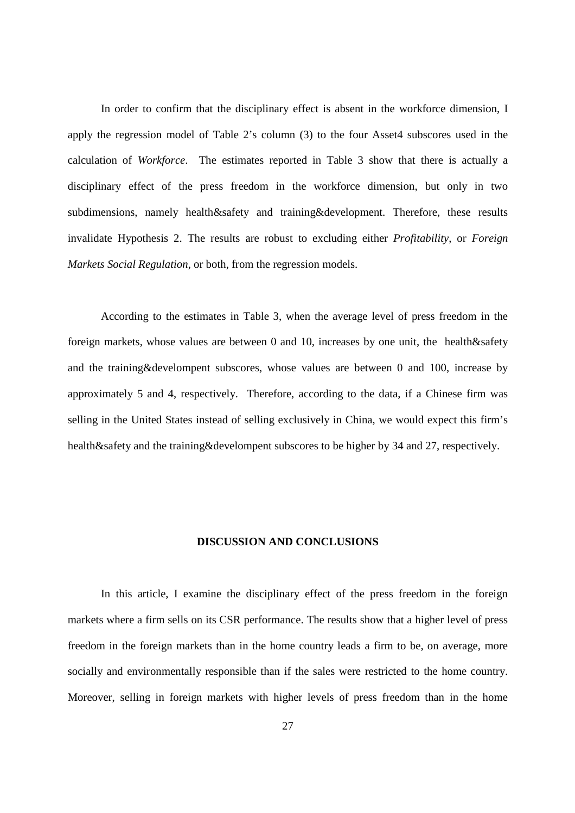In order to confirm that the disciplinary effect is absent in the workforce dimension, I apply the regression model of Table 2's column (3) to the four Asset4 subscores used in the calculation of *Workforce*. The estimates reported in Table 3 show that there is actually a disciplinary effect of the press freedom in the workforce dimension, but only in two subdimensions, namely health&safety and training&development. Therefore, these results invalidate Hypothesis 2. The results are robust to excluding either *Profitability*, or *Foreign Markets Social Regulation*, or both, from the regression models.

According to the estimates in Table 3, when the average level of press freedom in the foreign markets, whose values are between 0 and 10, increases by one unit, the health&safety and the training&develompent subscores, whose values are between 0 and 100, increase by approximately 5 and 4, respectively. Therefore, according to the data, if a Chinese firm was selling in the United States instead of selling exclusively in China, we would expect this firm's health&safety and the training&develompent subscores to be higher by 34 and 27, respectively.

#### **DISCUSSION AND CONCLUSIONS**

In this article, I examine the disciplinary effect of the press freedom in the foreign markets where a firm sells on its CSR performance. The results show that a higher level of press freedom in the foreign markets than in the home country leads a firm to be, on average, more socially and environmentally responsible than if the sales were restricted to the home country. Moreover, selling in foreign markets with higher levels of press freedom than in the home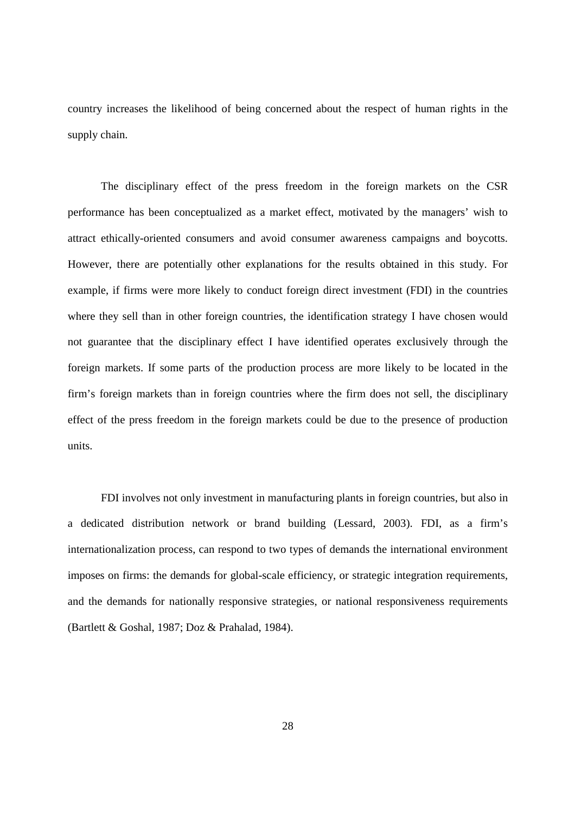country increases the likelihood of being concerned about the respect of human rights in the supply chain.

The disciplinary effect of the press freedom in the foreign markets on the CSR performance has been conceptualized as a market effect, motivated by the managers' wish to attract ethically-oriented consumers and avoid consumer awareness campaigns and boycotts. However, there are potentially other explanations for the results obtained in this study. For example, if firms were more likely to conduct foreign direct investment (FDI) in the countries where they sell than in other foreign countries, the identification strategy I have chosen would not guarantee that the disciplinary effect I have identified operates exclusively through the foreign markets. If some parts of the production process are more likely to be located in the firm's foreign markets than in foreign countries where the firm does not sell, the disciplinary effect of the press freedom in the foreign markets could be due to the presence of production units.

FDI involves not only investment in manufacturing plants in foreign countries, but also in a dedicated distribution network or brand building (Lessard, 2003). FDI, as a firm's internationalization process, can respond to two types of demands the international environment imposes on firms: the demands for global-scale efficiency, or strategic integration requirements, and the demands for nationally responsive strategies, or national responsiveness requirements (Bartlett & Goshal, 1987; Doz & Prahalad, 1984).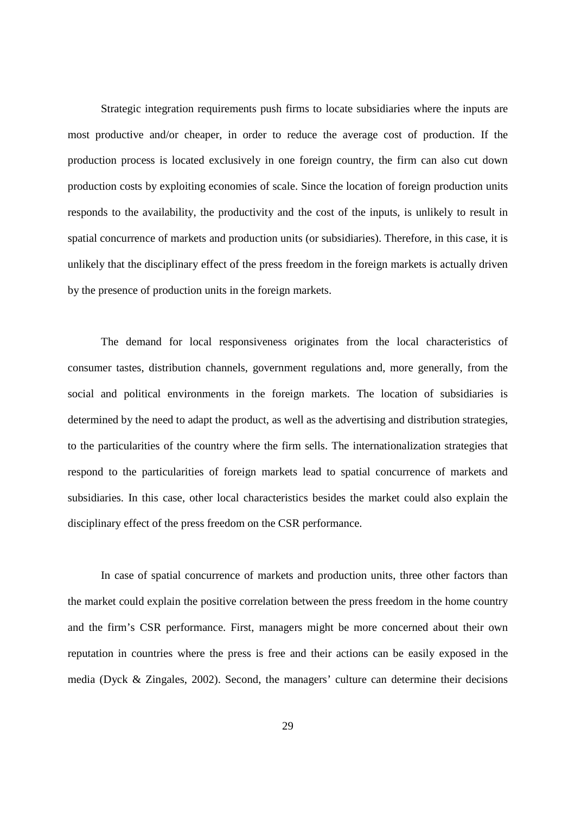Strategic integration requirements push firms to locate subsidiaries where the inputs are most productive and/or cheaper, in order to reduce the average cost of production. If the production process is located exclusively in one foreign country, the firm can also cut down production costs by exploiting economies of scale. Since the location of foreign production units responds to the availability, the productivity and the cost of the inputs, is unlikely to result in spatial concurrence of markets and production units (or subsidiaries). Therefore, in this case, it is unlikely that the disciplinary effect of the press freedom in the foreign markets is actually driven by the presence of production units in the foreign markets.

The demand for local responsiveness originates from the local characteristics of consumer tastes, distribution channels, government regulations and, more generally, from the social and political environments in the foreign markets. The location of subsidiaries is determined by the need to adapt the product, as well as the advertising and distribution strategies, to the particularities of the country where the firm sells. The internationalization strategies that respond to the particularities of foreign markets lead to spatial concurrence of markets and subsidiaries. In this case, other local characteristics besides the market could also explain the disciplinary effect of the press freedom on the CSR performance.

In case of spatial concurrence of markets and production units, three other factors than the market could explain the positive correlation between the press freedom in the home country and the firm's CSR performance. First, managers might be more concerned about their own reputation in countries where the press is free and their actions can be easily exposed in the media (Dyck & Zingales, 2002). Second, the managers' culture can determine their decisions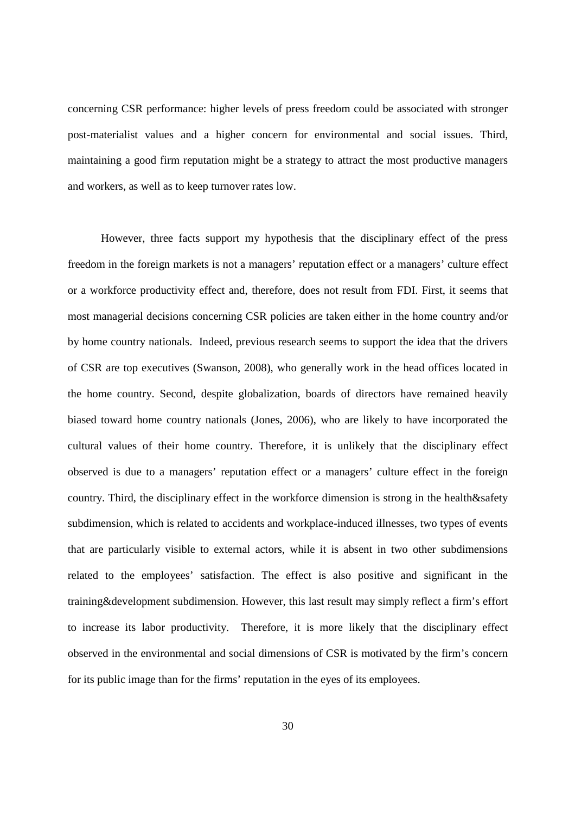concerning CSR performance: higher levels of press freedom could be associated with stronger post-materialist values and a higher concern for environmental and social issues. Third, maintaining a good firm reputation might be a strategy to attract the most productive managers and workers, as well as to keep turnover rates low.

However, three facts support my hypothesis that the disciplinary effect of the press freedom in the foreign markets is not a managers' reputation effect or a managers' culture effect or a workforce productivity effect and, therefore, does not result from FDI. First, it seems that most managerial decisions concerning CSR policies are taken either in the home country and/or by home country nationals. Indeed, previous research seems to support the idea that the drivers of CSR are top executives (Swanson, 2008), who generally work in the head offices located in the home country. Second, despite globalization, boards of directors have remained heavily biased toward home country nationals (Jones, 2006), who are likely to have incorporated the cultural values of their home country. Therefore, it is unlikely that the disciplinary effect observed is due to a managers' reputation effect or a managers' culture effect in the foreign country. Third, the disciplinary effect in the workforce dimension is strong in the health&safety subdimension, which is related to accidents and workplace-induced illnesses, two types of events that are particularly visible to external actors, while it is absent in two other subdimensions related to the employees' satisfaction. The effect is also positive and significant in the training&development subdimension. However, this last result may simply reflect a firm's effort to increase its labor productivity. Therefore, it is more likely that the disciplinary effect observed in the environmental and social dimensions of CSR is motivated by the firm's concern for its public image than for the firms' reputation in the eyes of its employees.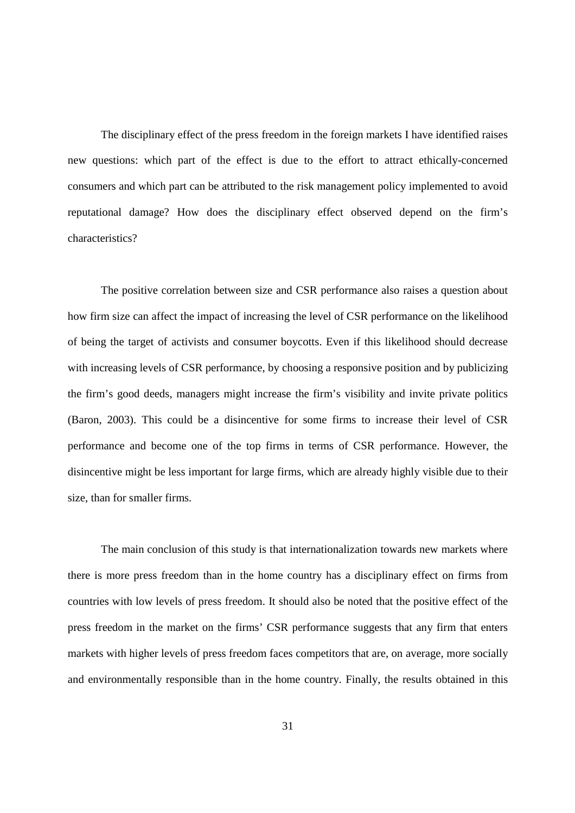The disciplinary effect of the press freedom in the foreign markets I have identified raises new questions: which part of the effect is due to the effort to attract ethically-concerned consumers and which part can be attributed to the risk management policy implemented to avoid reputational damage? How does the disciplinary effect observed depend on the firm's characteristics?

The positive correlation between size and CSR performance also raises a question about how firm size can affect the impact of increasing the level of CSR performance on the likelihood of being the target of activists and consumer boycotts. Even if this likelihood should decrease with increasing levels of CSR performance, by choosing a responsive position and by publicizing the firm's good deeds, managers might increase the firm's visibility and invite private politics (Baron, 2003). This could be a disincentive for some firms to increase their level of CSR performance and become one of the top firms in terms of CSR performance. However, the disincentive might be less important for large firms, which are already highly visible due to their size, than for smaller firms.

The main conclusion of this study is that internationalization towards new markets where there is more press freedom than in the home country has a disciplinary effect on firms from countries with low levels of press freedom. It should also be noted that the positive effect of the press freedom in the market on the firms' CSR performance suggests that any firm that enters markets with higher levels of press freedom faces competitors that are, on average, more socially and environmentally responsible than in the home country. Finally, the results obtained in this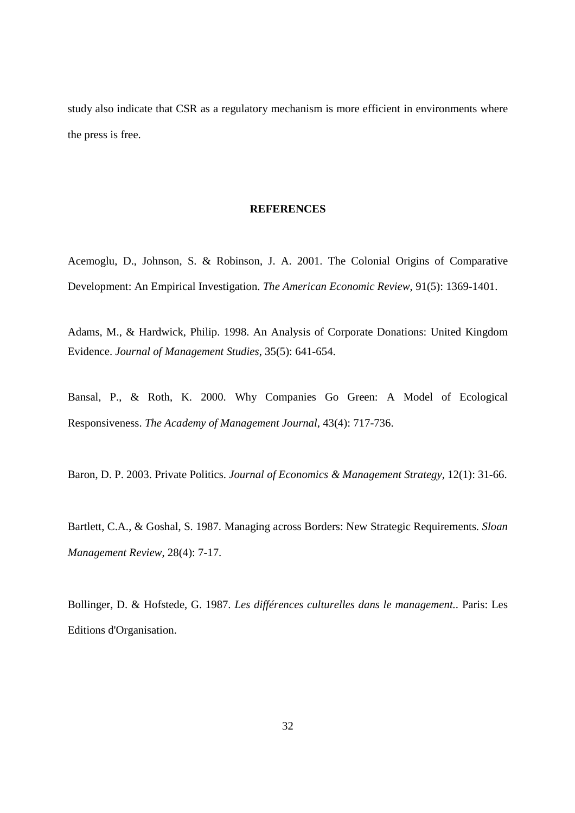study also indicate that CSR as a regulatory mechanism is more efficient in environments where the press is free.

# **REFERENCES**

Acemoglu, D., Johnson, S. & Robinson, J. A. 2001. The Colonial Origins of Comparative Development: An Empirical Investigation. *The American Economic Review*, 91(5): 1369-1401.

Adams, M., & Hardwick, Philip. 1998. An Analysis of Corporate Donations: United Kingdom Evidence. *Journal of Management Studies*, 35(5): 641-654.

Bansal, P., & Roth, K. 2000. Why Companies Go Green: A Model of Ecological Responsiveness. *The Academy of Management Journal*, 43(4): 717-736.

Baron, D. P. 2003. Private Politics. *Journal of Economics & Management Strategy*, 12(1): 31-66.

Bartlett, C.A., & Goshal, S. 1987. Managing across Borders: New Strategic Requirements. *Sloan Management Review*, 28(4): 7-17.

Bollinger, D. & Hofstede, G. 1987. *Les différences culturelles dans le management.*. Paris: Les Editions d'Organisation.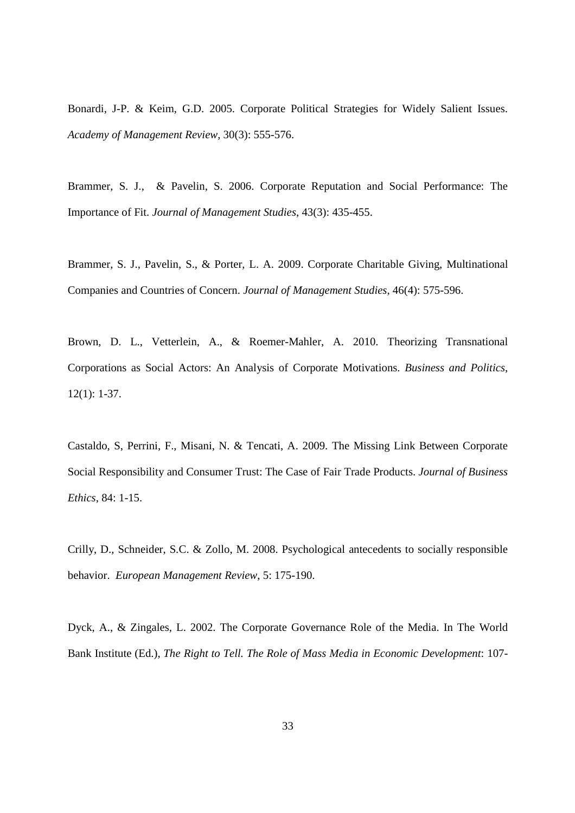Bonardi, J-P. & Keim, G.D. 2005. Corporate Political Strategies for Widely Salient Issues. *Academy of Management Review*, 30(3): 555-576.

Brammer, S. J., & Pavelin, S. 2006. Corporate Reputation and Social Performance: The Importance of Fit. *Journal of Management Studies*, 43(3): 435-455.

Brammer, S. J., Pavelin, S., & Porter, L. A. 2009. Corporate Charitable Giving, Multinational Companies and Countries of Concern. *Journal of Management Studies*, 46(4): 575-596.

Brown, D. L., Vetterlein, A., & Roemer-Mahler, A. 2010. Theorizing Transnational Corporations as Social Actors: An Analysis of Corporate Motivations. *Business and Politics*, 12(1): 1-37.

Castaldo, S, Perrini, F., Misani, N. & Tencati, A. 2009. The Missing Link Between Corporate Social Responsibility and Consumer Trust: The Case of Fair Trade Products. *Journal of Business Ethics*, 84: 1-15.

Crilly, D., Schneider, S.C. & Zollo, M. 2008. Psychological antecedents to socially responsible behavior. *European Management Review*, 5: 175-190.

Dyck, A., & Zingales, L. 2002. The Corporate Governance Role of the Media. In The World Bank Institute (Ed.), *The Right to Tell. The Role of Mass Media in Economic Development*: 107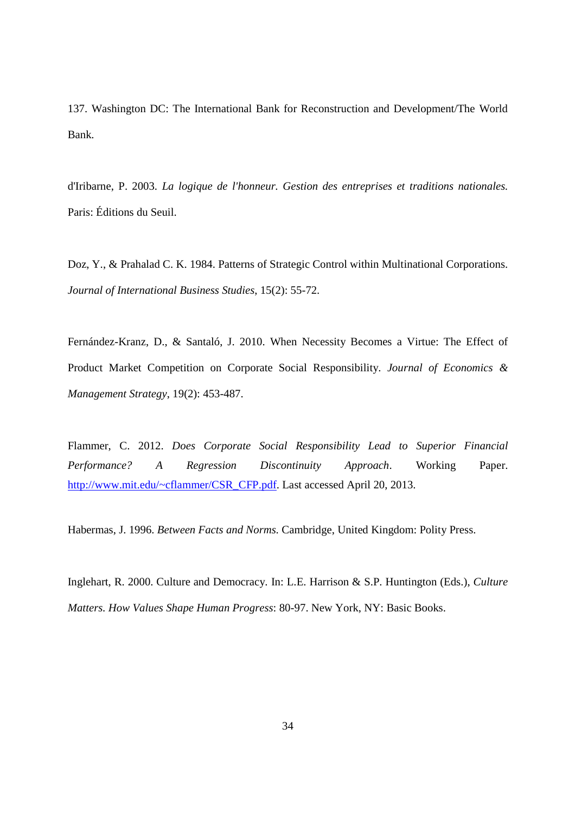137. Washington DC: The International Bank for Reconstruction and Development/The World Bank.

d'Iribarne, P. 2003. *La logique de l'honneur. Gestion des entreprises et traditions nationales.* Paris: Éditions du Seuil.

Doz, Y., & Prahalad C. K. 1984. Patterns of Strategic Control within Multinational Corporations. *Journal of International Business Studies*, 15(2): 55-72.

Fernández-Kranz, D., & Santaló, J. 2010. When Necessity Becomes a Virtue: The Effect of Product Market Competition on Corporate Social Responsibility. *Journal of Economics & Management Strategy*, 19(2): 453-487.

Flammer, C. 2012. *Does Corporate Social Responsibility Lead to Superior Financial Performance? A Regression Discontinuity Approach*. Working Paper. http://www.mit.edu/~cflammer/CSR\_CFP.pdf. Last accessed April 20, 2013.

Habermas, J. 1996. *Between Facts and Norms.* Cambridge, United Kingdom: Polity Press.

Inglehart, R. 2000. Culture and Democracy. In: L.E. Harrison & S.P. Huntington (Eds.), *Culture Matters. How Values Shape Human Progress*: 80-97. New York, NY: Basic Books.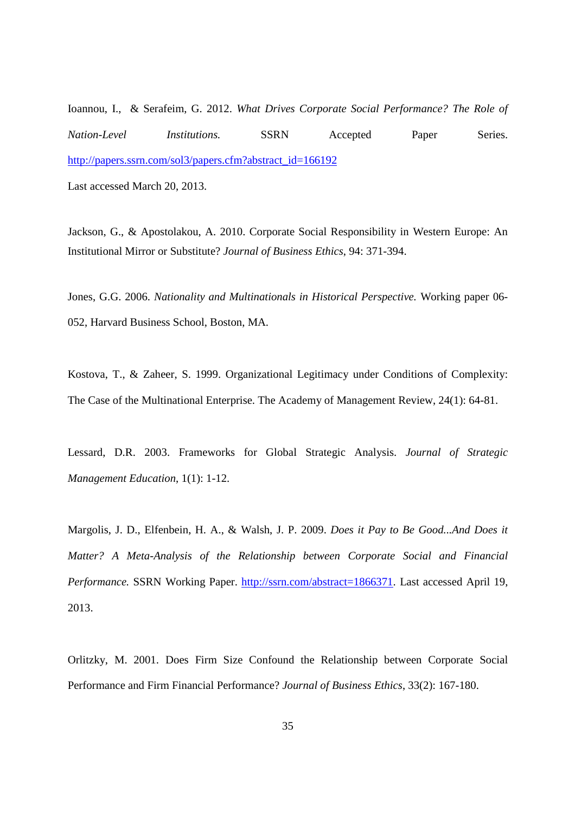Ioannou, I., & Serafeim, G. 2012. *What Drives Corporate Social Performance? The Role of Nation-Level Institutions.* SSRN Accepted Paper Series. http://papers.ssrn.com/sol3/papers.cfm?abstract\_id=166192

Last accessed March 20, 2013.

Jackson, G., & Apostolakou, A. 2010. Corporate Social Responsibility in Western Europe: An Institutional Mirror or Substitute? *Journal of Business Ethics*, 94: 371-394.

Jones, G.G. 2006. *Nationality and Multinationals in Historical Perspective.* Working paper 06- 052, Harvard Business School, Boston, MA.

Kostova, T., & Zaheer, S. 1999. Organizational Legitimacy under Conditions of Complexity: The Case of the Multinational Enterprise. The Academy of Management Review, 24(1): 64-81.

Lessard, D.R. 2003. Frameworks for Global Strategic Analysis. *Journal of Strategic Management Education*, 1(1): 1-12.

Margolis, J. D., Elfenbein, H. A., & Walsh, J. P. 2009. *Does it Pay to Be Good...And Does it Matter? A Meta-Analysis of the Relationship between Corporate Social and Financial Performance.* SSRN Working Paper. http://ssrn.com/abstract=1866371. Last accessed April 19, 2013.

Orlitzky, M. 2001. Does Firm Size Confound the Relationship between Corporate Social Performance and Firm Financial Performance? *Journal of Business Ethics*, 33(2): 167-180.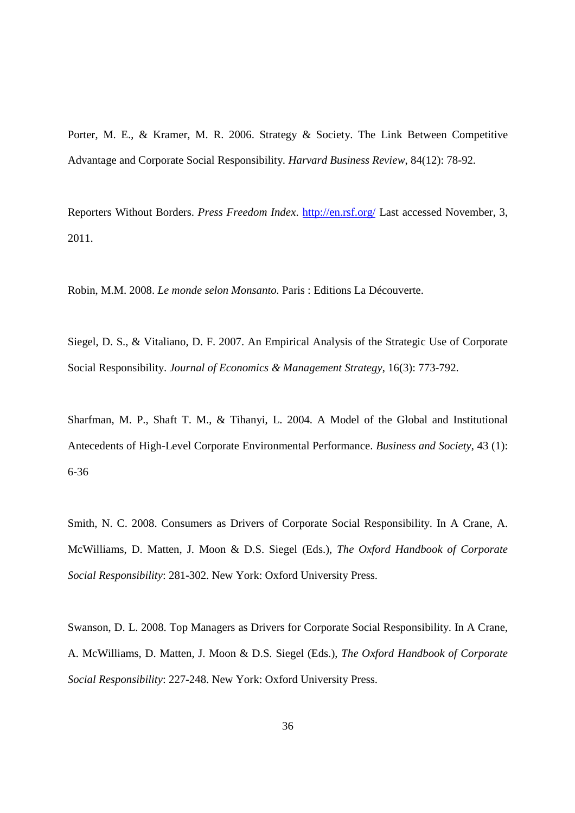Porter, M. E., & Kramer, M. R. 2006. Strategy & Society. The Link Between Competitive Advantage and Corporate Social Responsibility. *Harvard Business Review*, 84(12): 78-92.

Reporters Without Borders. *Press Freedom Index*. http://en.rsf.org/ Last accessed November, 3, 2011.

Robin, M.M. 2008. *Le monde selon Monsanto.* Paris : Editions La Découverte.

Siegel, D. S., & Vitaliano, D. F. 2007. An Empirical Analysis of the Strategic Use of Corporate Social Responsibility. *Journal of Economics & Management Strategy*, 16(3): 773-792.

Sharfman, M. P., Shaft T. M., & Tihanyi, L. 2004. A Model of the Global and Institutional Antecedents of High-Level Corporate Environmental Performance. *Business and Society*, 43 (1): 6-36

Smith, N. C. 2008. Consumers as Drivers of Corporate Social Responsibility. In A Crane, A. McWilliams, D. Matten, J. Moon & D.S. Siegel (Eds.), *The Oxford Handbook of Corporate Social Responsibility*: 281-302. New York: Oxford University Press.

Swanson, D. L. 2008. Top Managers as Drivers for Corporate Social Responsibility. In A Crane, A. McWilliams, D. Matten, J. Moon & D.S. Siegel (Eds.), *The Oxford Handbook of Corporate Social Responsibility*: 227-248. New York: Oxford University Press.